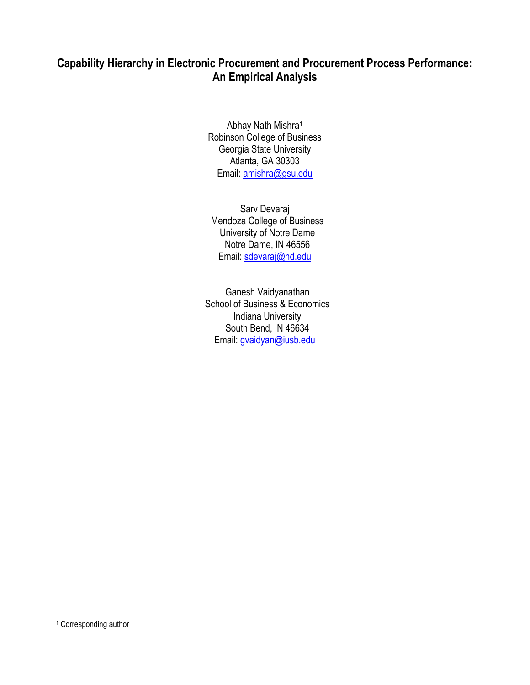# **Capability Hierarchy in Electronic Procurement and Procurement Process Performance: An Empirical Analysis**

Abhay Nath Mishra<sup>1</sup> Robinson College of Business Georgia State University Atlanta, GA 30303 Email: [amishra@gsu.edu](mailto:amishra@gsu.edu)

Sarv Devaraj Mendoza College of Business University of Notre Dame Notre Dame, IN 46556 Email: [sdevaraj@nd.edu](mailto:sdevaraj@nd.edu)

Ganesh Vaidyanathan School of Business & Economics Indiana University South Bend, IN 46634 Email: [gvaidyan@iusb.edu](mailto:gvaidyan@iusb.edu)

 $\overline{a}$ 

<sup>1</sup> Corresponding author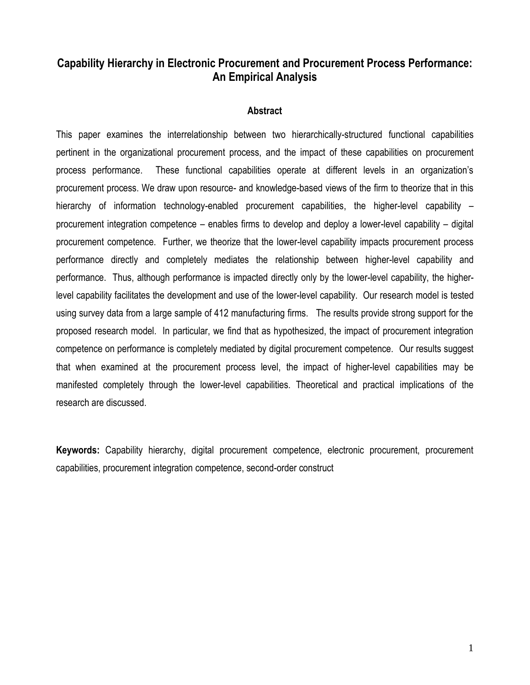# **Capability Hierarchy in Electronic Procurement and Procurement Process Performance: An Empirical Analysis**

#### **Abstract**

This paper examines the interrelationship between two hierarchically-structured functional capabilities pertinent in the organizational procurement process, and the impact of these capabilities on procurement process performance. These functional capabilities operate at different levels in an organization's procurement process. We draw upon resource- and knowledge-based views of the firm to theorize that in this hierarchy of information technology-enabled procurement capabilities, the higher-level capability – procurement integration competence – enables firms to develop and deploy a lower-level capability – digital procurement competence. Further, we theorize that the lower-level capability impacts procurement process performance directly and completely mediates the relationship between higher-level capability and performance. Thus, although performance is impacted directly only by the lower-level capability, the higherlevel capability facilitates the development and use of the lower-level capability. Our research model is tested using survey data from a large sample of 412 manufacturing firms. The results provide strong support for the proposed research model. In particular, we find that as hypothesized, the impact of procurement integration competence on performance is completely mediated by digital procurement competence. Our results suggest that when examined at the procurement process level, the impact of higher-level capabilities may be manifested completely through the lower-level capabilities. Theoretical and practical implications of the research are discussed.

**Keywords:** Capability hierarchy, digital procurement competence, electronic procurement, procurement capabilities, procurement integration competence, second-order construct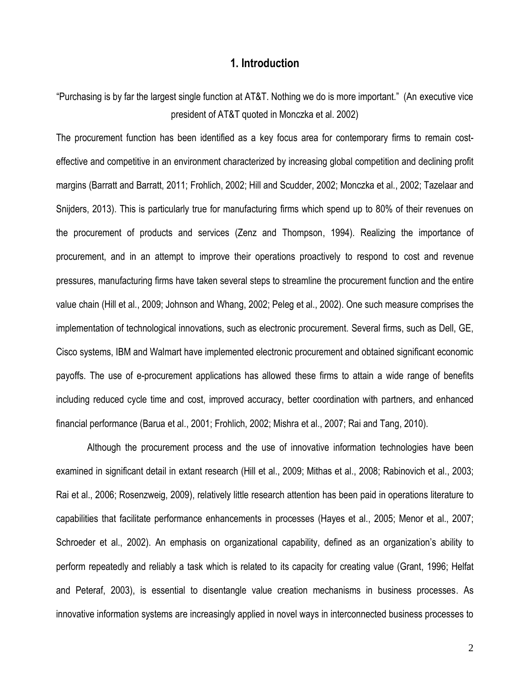## **1. Introduction**

"Purchasing is by far the largest single function at AT&T. Nothing we do is more important." (An executive vice president of AT&T quoted in Monczka et al. 2002)

The procurement function has been identified as a key focus area for contemporary firms to remain costeffective and competitive in an environment characterized by increasing global competition and declining profit margins (Barratt and Barratt, 2011; Frohlich, 2002; Hill and Scudder, 2002; Monczka et al., 2002; Tazelaar and Snijders, 2013). This is particularly true for manufacturing firms which spend up to 80% of their revenues on the procurement of products and services (Zenz and Thompson, 1994). Realizing the importance of procurement, and in an attempt to improve their operations proactively to respond to cost and revenue pressures, manufacturing firms have taken several steps to streamline the procurement function and the entire value chain (Hill et al., 2009; Johnson and Whang, 2002; Peleg et al., 2002). One such measure comprises the implementation of technological innovations, such as electronic procurement. Several firms, such as Dell, GE, Cisco systems, IBM and Walmart have implemented electronic procurement and obtained significant economic payoffs. The use of e-procurement applications has allowed these firms to attain a wide range of benefits including reduced cycle time and cost, improved accuracy, better coordination with partners, and enhanced financial performance (Barua et al., 2001; Frohlich, 2002; Mishra et al., 2007; Rai and Tang, 2010).

Although the procurement process and the use of innovative information technologies have been examined in significant detail in extant research (Hill et al., 2009; Mithas et al., 2008; Rabinovich et al., 2003; Rai et al., 2006; Rosenzweig, 2009), relatively little research attention has been paid in operations literature to capabilities that facilitate performance enhancements in processes (Hayes et al., 2005; Menor et al., 2007; Schroeder et al., 2002). An emphasis on organizational capability, defined as an organization's ability to perform repeatedly and reliably a task which is related to its capacity for creating value (Grant, 1996; Helfat and Peteraf, 2003), is essential to disentangle value creation mechanisms in business processes. As innovative information systems are increasingly applied in novel ways in interconnected business processes to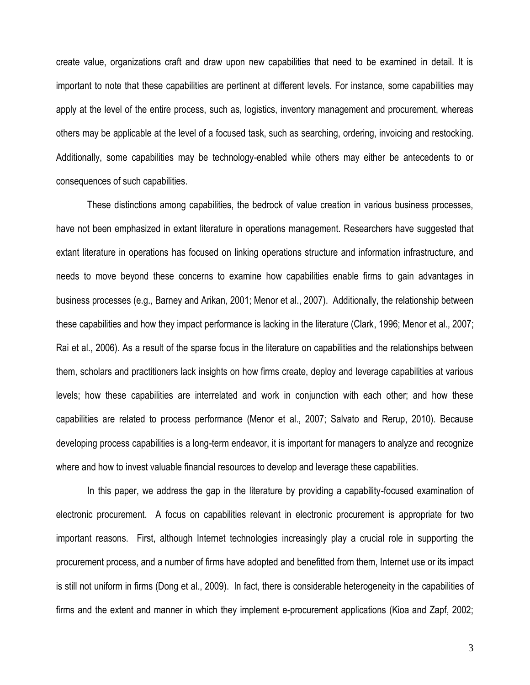create value, organizations craft and draw upon new capabilities that need to be examined in detail. It is important to note that these capabilities are pertinent at different levels. For instance, some capabilities may apply at the level of the entire process, such as, logistics, inventory management and procurement, whereas others may be applicable at the level of a focused task, such as searching, ordering, invoicing and restocking. Additionally, some capabilities may be technology-enabled while others may either be antecedents to or consequences of such capabilities.

These distinctions among capabilities, the bedrock of value creation in various business processes, have not been emphasized in extant literature in operations management. Researchers have suggested that extant literature in operations has focused on linking operations structure and information infrastructure, and needs to move beyond these concerns to examine how capabilities enable firms to gain advantages in business processes (e.g., Barney and Arikan, 2001; Menor et al., 2007). Additionally, the relationship between these capabilities and how they impact performance is lacking in the literature (Clark, 1996; Menor et al., 2007; Rai et al., 2006). As a result of the sparse focus in the literature on capabilities and the relationships between them, scholars and practitioners lack insights on how firms create, deploy and leverage capabilities at various levels; how these capabilities are interrelated and work in conjunction with each other; and how these capabilities are related to process performance (Menor et al., 2007; Salvato and Rerup, 2010). Because developing process capabilities is a long-term endeavor, it is important for managers to analyze and recognize where and how to invest valuable financial resources to develop and leverage these capabilities.

In this paper, we address the gap in the literature by providing a capability-focused examination of electronic procurement. A focus on capabilities relevant in electronic procurement is appropriate for two important reasons. First, although Internet technologies increasingly play a crucial role in supporting the procurement process, and a number of firms have adopted and benefitted from them, Internet use or its impact is still not uniform in firms (Dong et al., 2009). In fact, there is considerable heterogeneity in the capabilities of firms and the extent and manner in which they implement e-procurement applications (Kioa and Zapf, 2002;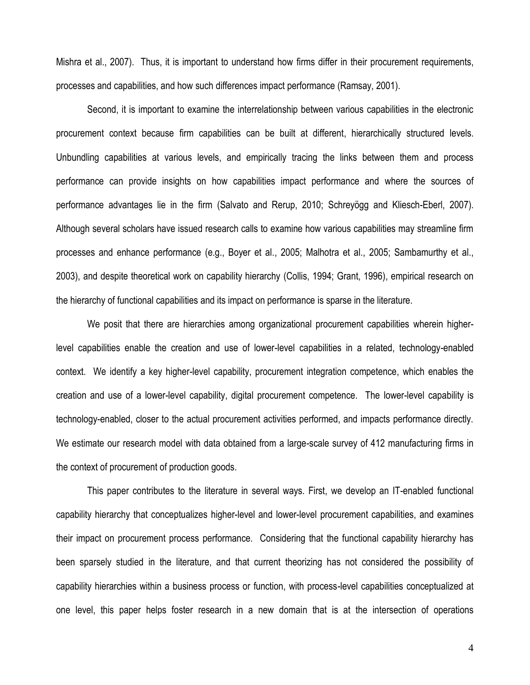Mishra et al., 2007). Thus, it is important to understand how firms differ in their procurement requirements, processes and capabilities, and how such differences impact performance (Ramsay, 2001).

Second, it is important to examine the interrelationship between various capabilities in the electronic procurement context because firm capabilities can be built at different, hierarchically structured levels. Unbundling capabilities at various levels, and empirically tracing the links between them and process performance can provide insights on how capabilities impact performance and where the sources of performance advantages lie in the firm (Salvato and Rerup, 2010; Schreyögg and Kliesch-Eberl, 2007). Although several scholars have issued research calls to examine how various capabilities may streamline firm processes and enhance performance (e.g., Boyer et al., 2005; Malhotra et al., 2005; Sambamurthy et al., 2003), and despite theoretical work on capability hierarchy (Collis, 1994; Grant, 1996), empirical research on the hierarchy of functional capabilities and its impact on performance is sparse in the literature.

We posit that there are hierarchies among organizational procurement capabilities wherein higherlevel capabilities enable the creation and use of lower-level capabilities in a related, technology-enabled context. We identify a key higher-level capability, procurement integration competence, which enables the creation and use of a lower-level capability, digital procurement competence.The lower-level capability is technology-enabled, closer to the actual procurement activities performed, and impacts performance directly. We estimate our research model with data obtained from a large-scale survey of 412 manufacturing firms in the context of procurement of production goods.

This paper contributes to the literature in several ways. First, we develop an IT-enabled functional capability hierarchy that conceptualizes higher-level and lower-level procurement capabilities, and examines their impact on procurement process performance. Considering that the functional capability hierarchy has been sparsely studied in the literature, and that current theorizing has not considered the possibility of capability hierarchies within a business process or function, with process-level capabilities conceptualized at one level, this paper helps foster research in a new domain that is at the intersection of operations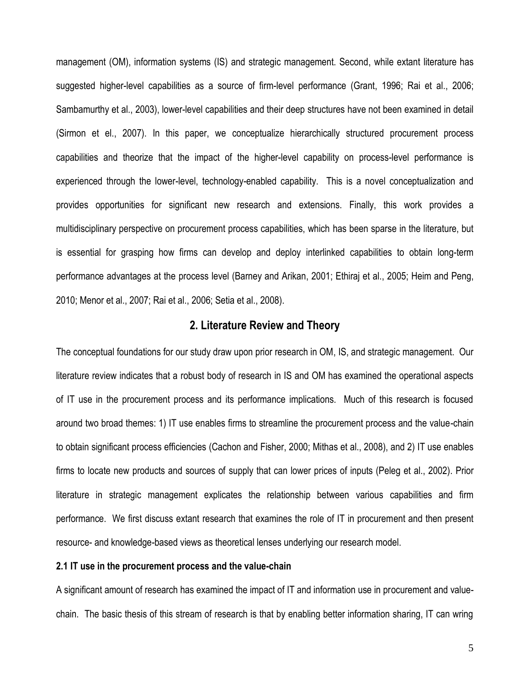management (OM), information systems (IS) and strategic management. Second, while extant literature has suggested higher-level capabilities as a source of firm-level performance (Grant, 1996; Rai et al., 2006; Sambamurthy et al., 2003), lower-level capabilities and their deep structures have not been examined in detail (Sirmon et el., 2007). In this paper, we conceptualize hierarchically structured procurement process capabilities and theorize that the impact of the higher-level capability on process-level performance is experienced through the lower-level, technology-enabled capability. This is a novel conceptualization and provides opportunities for significant new research and extensions. Finally, this work provides a multidisciplinary perspective on procurement process capabilities, which has been sparse in the literature, but is essential for grasping how firms can develop and deploy interlinked capabilities to obtain long-term performance advantages at the process level (Barney and Arikan, 2001; Ethiraj et al., 2005; Heim and Peng, 2010; Menor et al., 2007; Rai et al., 2006; Setia et al., 2008).

## **2. Literature Review and Theory**

The conceptual foundations for our study draw upon prior research in OM, IS, and strategic management. Our literature review indicates that a robust body of research in IS and OM has examined the operational aspects of IT use in the procurement process and its performance implications. Much of this research is focused around two broad themes: 1) IT use enables firms to streamline the procurement process and the value-chain to obtain significant process efficiencies (Cachon and Fisher, 2000; Mithas et al., 2008), and 2) IT use enables firms to locate new products and sources of supply that can lower prices of inputs (Peleg et al., 2002). Prior literature in strategic management explicates the relationship between various capabilities and firm performance. We first discuss extant research that examines the role of IT in procurement and then present resource- and knowledge-based views as theoretical lenses underlying our research model.

#### **2.1 IT use in the procurement process and the value-chain**

A significant amount of research has examined the impact of IT and information use in procurement and valuechain. The basic thesis of this stream of research is that by enabling better information sharing, IT can wring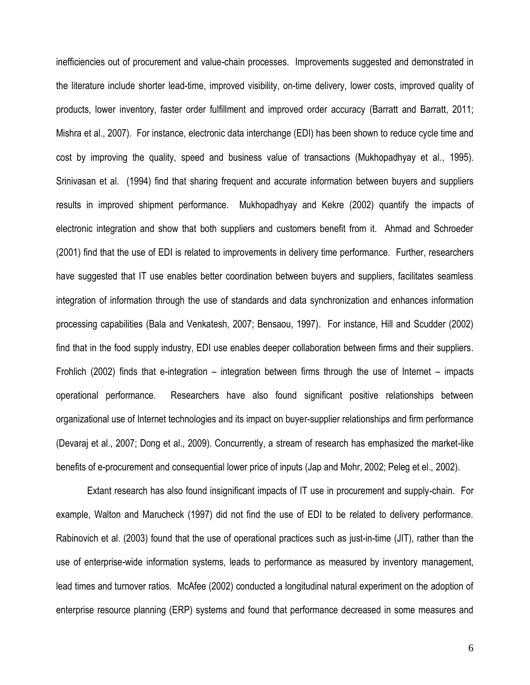inefficiencies out of procurement and value-chain processes. Improvements suggested and demonstrated in the literature include shorter lead-time, improved visibility, on-time delivery, lower costs, improved quality of products, lower inventory, faster order fulfillment and improved order accuracy (Barratt and Barratt, 2011; Mishra et al., 2007). For instance, electronic data interchange (EDI) has been shown to reduce cycle time and cost by improving the quality, speed and business value of transactions (Mukhopadhyay et al., 1995). Srinivasan et al. (1994) find that sharing frequent and accurate information between buyers and suppliers results in improved shipment performance. Mukhopadhyay and Kekre (2002) quantify the impacts of electronic integration and show that both suppliers and customers benefit from it. Ahmad and Schroeder (2001) find that the use of EDI is related to improvements in delivery time performance. Further, researchers have suggested that IT use enables better coordination between buyers and suppliers, facilitates seamless integration of information through the use of standards and data synchronization and enhances information processing capabilities (Bala and Venkatesh, 2007; Bensaou, 1997). For instance, Hill and Scudder (2002) find that in the food supply industry, EDI use enables deeper collaboration between firms and their suppliers. Frohlich (2002) finds that e-integration – integration between firms through the use of Internet – impacts operational performance. Researchers have also found significant positive relationships between organizational use of Internet technologies and its impact on buyer-supplier relationships and firm performance (Devaraj et al., 2007; Dong et al., 2009). Concurrently, a stream of research has emphasized the market-like benefits of e-procurement and consequential lower price of inputs (Jap and Mohr, 2002; Peleg et el., 2002).

Extant research has also found insignificant impacts of IT use in procurement and supply-chain. For example, Walton and Marucheck (1997) did not find the use of EDI to be related to delivery performance. Rabinovich et al. (2003) found that the use of operational practices such as just-in-time (JIT), rather than the use of enterprise-wide information systems, leads to performance as measured by inventory management, lead times and turnover ratios. McAfee (2002) conducted a longitudinal natural experiment on the adoption of enterprise resource planning (ERP) systems and found that performance decreased in some measures and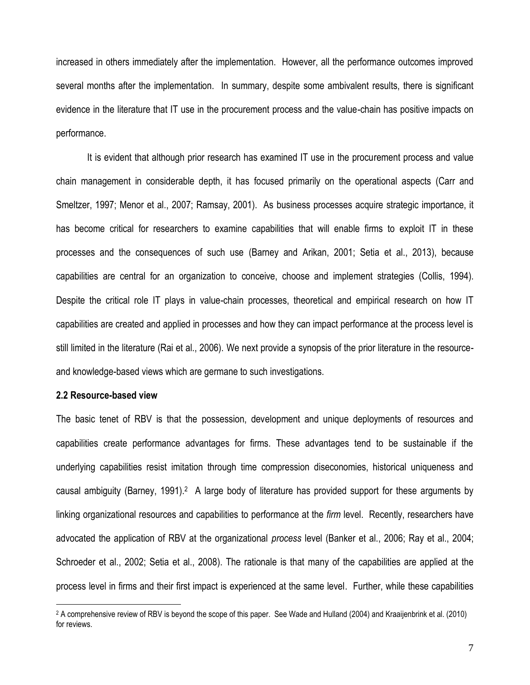increased in others immediately after the implementation. However, all the performance outcomes improved several months after the implementation. In summary, despite some ambivalent results, there is significant evidence in the literature that IT use in the procurement process and the value-chain has positive impacts on performance.

It is evident that although prior research has examined IT use in the procurement process and value chain management in considerable depth, it has focused primarily on the operational aspects (Carr and Smeltzer, 1997; Menor et al., 2007; Ramsay, 2001). As business processes acquire strategic importance, it has become critical for researchers to examine capabilities that will enable firms to exploit IT in these processes and the consequences of such use (Barney and Arikan, 2001; Setia et al., 2013), because capabilities are central for an organization to conceive, choose and implement strategies (Collis, 1994). Despite the critical role IT plays in value-chain processes, theoretical and empirical research on how IT capabilities are created and applied in processes and how they can impact performance at the process level is still limited in the literature (Rai et al., 2006). We next provide a synopsis of the prior literature in the resourceand knowledge-based views which are germane to such investigations.

#### **2.2 Resource-based view**

 $\overline{a}$ 

The basic tenet of RBV is that the possession, development and unique deployments of resources and capabilities create performance advantages for firms. These advantages tend to be sustainable if the underlying capabilities resist imitation through time compression diseconomies, historical uniqueness and causal ambiguity (Barney, 1991).<sup>2</sup> A large body of literature has provided support for these arguments by linking organizational resources and capabilities to performance at the *firm* level. Recently, researchers have advocated the application of RBV at the organizational *process* level (Banker et al., 2006; Ray et al., 2004; Schroeder et al., 2002; Setia et al., 2008). The rationale is that many of the capabilities are applied at the process level in firms and their first impact is experienced at the same level. Further, while these capabilities

<sup>2</sup> A comprehensive review of RBV is beyond the scope of this paper. See Wade and Hulland (2004) and Kraaijenbrink et al. (2010) for reviews.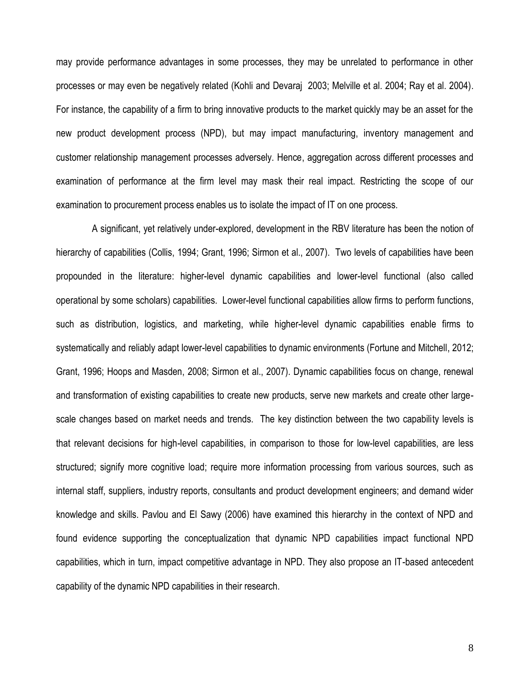may provide performance advantages in some processes, they may be unrelated to performance in other processes or may even be negatively related (Kohli and Devaraj 2003; Melville et al. 2004; Ray et al. 2004). For instance, the capability of a firm to bring innovative products to the market quickly may be an asset for the new product development process (NPD), but may impact manufacturing, inventory management and customer relationship management processes adversely. Hence, aggregation across different processes and examination of performance at the firm level may mask their real impact. Restricting the scope of our examination to procurement process enables us to isolate the impact of IT on one process.

 A significant, yet relatively under-explored, development in the RBV literature has been the notion of hierarchy of capabilities (Collis, 1994; Grant, 1996; Sirmon et al., 2007). Two levels of capabilities have been propounded in the literature: higher-level dynamic capabilities and lower-level functional (also called operational by some scholars) capabilities. Lower-level functional capabilities allow firms to perform functions, such as distribution, logistics, and marketing, while higher-level dynamic capabilities enable firms to systematically and reliably adapt lower-level capabilities to dynamic environments (Fortune and Mitchell, 2012; Grant, 1996; Hoops and Masden, 2008; Sirmon et al., 2007). Dynamic capabilities focus on change, renewal and transformation of existing capabilities to create new products, serve new markets and create other largescale changes based on market needs and trends. The key distinction between the two capability levels is that relevant decisions for high-level capabilities, in comparison to those for low-level capabilities, are less structured; signify more cognitive load; require more information processing from various sources, such as internal staff, suppliers, industry reports, consultants and product development engineers; and demand wider knowledge and skills. Pavlou and El Sawy (2006) have examined this hierarchy in the context of NPD and found evidence supporting the conceptualization that dynamic NPD capabilities impact functional NPD capabilities, which in turn, impact competitive advantage in NPD. They also propose an IT-based antecedent capability of the dynamic NPD capabilities in their research.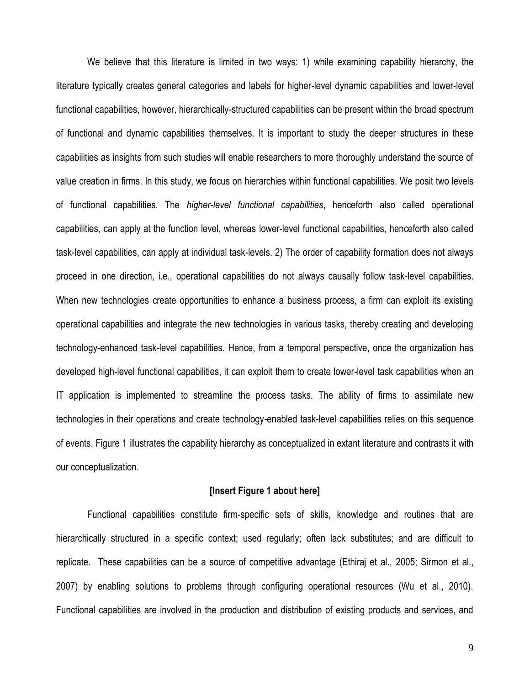We believe that this literature is limited in two ways: 1) while examining capability hierarchy, the literature typically creates general categories and labels for higher-level dynamic capabilities and lower-level functional capabilities, however, hierarchically-structured capabilities can be present within the broad spectrum of functional and dynamic capabilities themselves. It is important to study the deeper structures in these capabilities as insights from such studies will enable researchers to more thoroughly understand the source of value creation in firms. In this study, we focus on hierarchies within functional capabilities. We posit two levels of functional capabilities. The *higher-level functional capabilities*, henceforth also called operational capabilities, can apply at the function level, whereas lower-level functional capabilities, henceforth also called task-level capabilities, can apply at individual task-levels. 2) The order of capability formation does not always proceed in one direction, i.e., operational capabilities do not always causally follow task-level capabilities. When new technologies create opportunities to enhance a business process, a firm can exploit its existing operational capabilities and integrate the new technologies in various tasks, thereby creating and developing technology-enhanced task-level capabilities. Hence, from a temporal perspective, once the organization has developed high-level functional capabilities, it can exploit them to create lower-level task capabilities when an IT application is implemented to streamline the process tasks. The ability of firms to assimilate new technologies in their operations and create technology-enabled task-level capabilities relies on this sequence of events. Figure 1 illustrates the capability hierarchy as conceptualized in extant literature and contrasts it with our conceptualization.

#### **[Insert Figure 1 about here]**

Functional capabilities constitute firm-specific sets of skills, knowledge and routines that are hierarchically structured in a specific context; used regularly; often lack substitutes; and are difficult to replicate. These capabilities can be a source of competitive advantage (Ethiraj et al., 2005; Sirmon et al., 2007) by enabling solutions to problems through configuring operational resources (Wu et al., 2010). Functional capabilities are involved in the production and distribution of existing products and services, and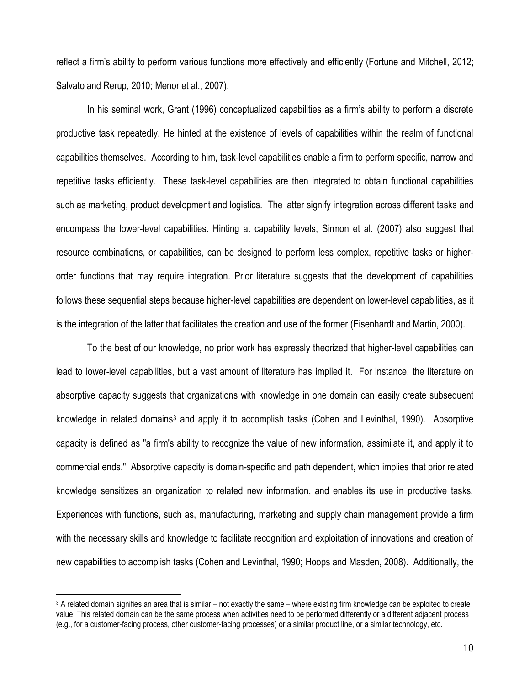reflect a firm's ability to perform various functions more effectively and efficiently (Fortune and Mitchell, 2012; Salvato and Rerup, 2010; Menor et al., 2007).

In his seminal work, Grant (1996) conceptualized capabilities as a firm's ability to perform a discrete productive task repeatedly. He hinted at the existence of levels of capabilities within the realm of functional capabilities themselves. According to him, task-level capabilities enable a firm to perform specific, narrow and repetitive tasks efficiently. These task-level capabilities are then integrated to obtain functional capabilities such as marketing, product development and logistics. The latter signify integration across different tasks and encompass the lower-level capabilities. Hinting at capability levels, Sirmon et al. (2007) also suggest that resource combinations, or capabilities, can be designed to perform less complex, repetitive tasks or higherorder functions that may require integration. Prior literature suggests that the development of capabilities follows these sequential steps because higher-level capabilities are dependent on lower-level capabilities, as it is the integration of the latter that facilitates the creation and use of the former (Eisenhardt and Martin, 2000).

To the best of our knowledge, no prior work has expressly theorized that higher-level capabilities can lead to lower-level capabilities, but a vast amount of literature has implied it. For instance, the literature on absorptive capacity suggests that organizations with knowledge in one domain can easily create subsequent knowledge in related domains<sup>3</sup> and apply it to accomplish tasks (Cohen and Levinthal, 1990). Absorptive capacity is defined as "a firm's ability to recognize the value of new information, assimilate it, and apply it to commercial ends." Absorptive capacity is domain-specific and path dependent, which implies that prior related knowledge sensitizes an organization to related new information, and enables its use in productive tasks. Experiences with functions, such as, manufacturing, marketing and supply chain management provide a firm with the necessary skills and knowledge to facilitate recognition and exploitation of innovations and creation of new capabilities to accomplish tasks (Cohen and Levinthal, 1990; Hoops and Masden, 2008). Additionally, the

 $\overline{a}$ 

<sup>3</sup> A related domain signifies an area that is similar – not exactly the same – where existing firm knowledge can be exploited to create value. This related domain can be the same process when activities need to be performed differently or a different adjacent process (e.g., for a customer-facing process, other customer-facing processes) or a similar product line, or a similar technology, etc.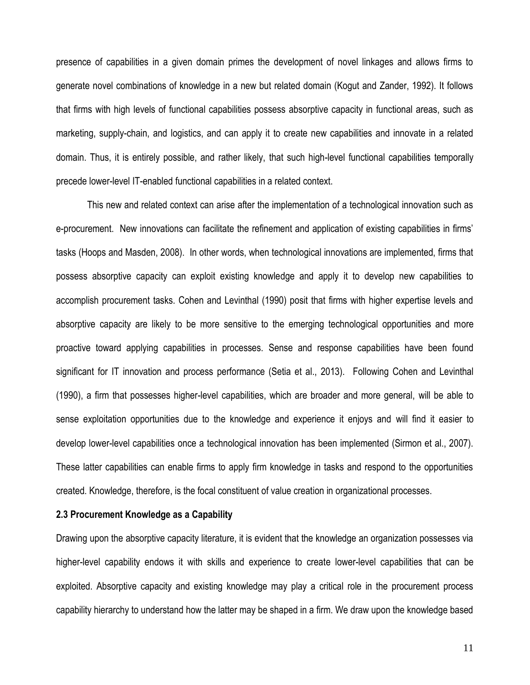presence of capabilities in a given domain primes the development of novel linkages and allows firms to generate novel combinations of knowledge in a new but related domain (Kogut and Zander, 1992). It follows that firms with high levels of functional capabilities possess absorptive capacity in functional areas, such as marketing, supply-chain, and logistics, and can apply it to create new capabilities and innovate in a related domain. Thus, it is entirely possible, and rather likely, that such high-level functional capabilities temporally precede lower-level IT-enabled functional capabilities in a related context.

This new and related context can arise after the implementation of a technological innovation such as e-procurement. New innovations can facilitate the refinement and application of existing capabilities in firms' tasks (Hoops and Masden, 2008). In other words, when technological innovations are implemented, firms that possess absorptive capacity can exploit existing knowledge and apply it to develop new capabilities to accomplish procurement tasks. Cohen and Levinthal (1990) posit that firms with higher expertise levels and absorptive capacity are likely to be more sensitive to the emerging technological opportunities and more proactive toward applying capabilities in processes. Sense and response capabilities have been found significant for IT innovation and process performance (Setia et al., 2013). Following Cohen and Levinthal (1990), a firm that possesses higher-level capabilities, which are broader and more general, will be able to sense exploitation opportunities due to the knowledge and experience it enjoys and will find it easier to develop lower-level capabilities once a technological innovation has been implemented (Sirmon et al., 2007). These latter capabilities can enable firms to apply firm knowledge in tasks and respond to the opportunities created. Knowledge, therefore, is the focal constituent of value creation in organizational processes.

#### **2.3 Procurement Knowledge as a Capability**

Drawing upon the absorptive capacity literature, it is evident that the knowledge an organization possesses via higher-level capability endows it with skills and experience to create lower-level capabilities that can be exploited. Absorptive capacity and existing knowledge may play a critical role in the procurement process capability hierarchy to understand how the latter may be shaped in a firm. We draw upon the knowledge based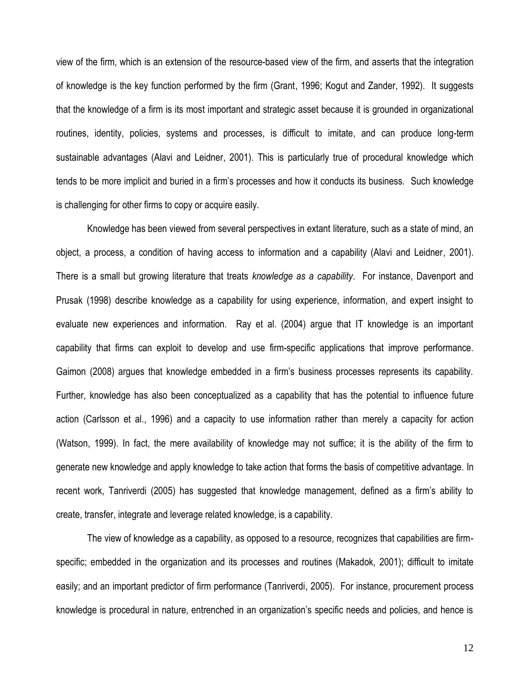view of the firm, which is an extension of the resource-based view of the firm, and asserts that the integration of knowledge is the key function performed by the firm (Grant, 1996; Kogut and Zander, 1992). It suggests that the knowledge of a firm is its most important and strategic asset because it is grounded in organizational routines, identity, policies, systems and processes, is difficult to imitate, and can produce long-term sustainable advantages (Alavi and Leidner, 2001). This is particularly true of procedural knowledge which tends to be more implicit and buried in a firm's processes and how it conducts its business. Such knowledge is challenging for other firms to copy or acquire easily.

Knowledge has been viewed from several perspectives in extant literature, such as a state of mind, an object, a process, a condition of having access to information and a capability (Alavi and Leidner, 2001). There is a small but growing literature that treats *knowledge as a capability*. For instance, Davenport and Prusak (1998) describe knowledge as a capability for using experience, information, and expert insight to evaluate new experiences and information. Ray et al. (2004) argue that IT knowledge is an important capability that firms can exploit to develop and use firm-specific applications that improve performance. Gaimon (2008) argues that knowledge embedded in a firm's business processes represents its capability. Further, knowledge has also been conceptualized as a capability that has the potential to influence future action (Carlsson et al., 1996) and a capacity to use information rather than merely a capacity for action (Watson, 1999). In fact, the mere availability of knowledge may not suffice; it is the ability of the firm to generate new knowledge and apply knowledge to take action that forms the basis of competitive advantage. In recent work, Tanriverdi (2005) has suggested that knowledge management, defined as a firm's ability to create, transfer, integrate and leverage related knowledge, is a capability.

The view of knowledge as a capability, as opposed to a resource, recognizes that capabilities are firmspecific; embedded in the organization and its processes and routines (Makadok, 2001); difficult to imitate easily; and an important predictor of firm performance (Tanriverdi, 2005). For instance, procurement process knowledge is procedural in nature, entrenched in an organization's specific needs and policies, and hence is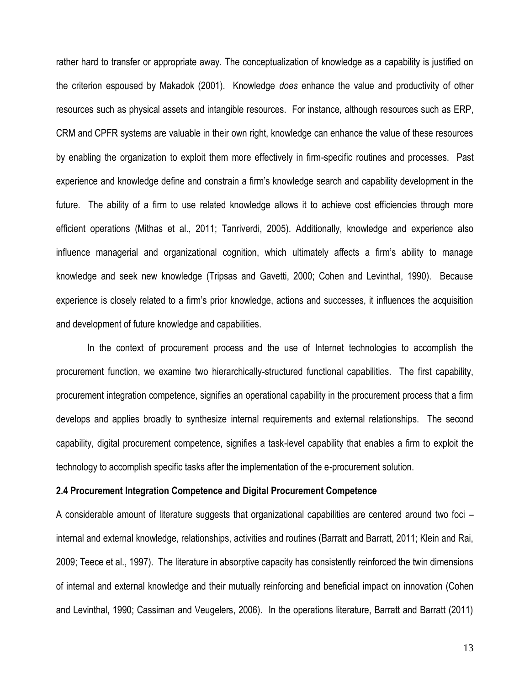rather hard to transfer or appropriate away. The conceptualization of knowledge as a capability is justified on the criterion espoused by Makadok (2001). Knowledge *does* enhance the value and productivity of other resources such as physical assets and intangible resources. For instance, although resources such as ERP, CRM and CPFR systems are valuable in their own right, knowledge can enhance the value of these resources by enabling the organization to exploit them more effectively in firm-specific routines and processes. Past experience and knowledge define and constrain a firm's knowledge search and capability development in the future. The ability of a firm to use related knowledge allows it to achieve cost efficiencies through more efficient operations (Mithas et al., 2011; Tanriverdi, 2005). Additionally, knowledge and experience also influence managerial and organizational cognition, which ultimately affects a firm's ability to manage knowledge and seek new knowledge (Tripsas and Gavetti, 2000; Cohen and Levinthal, 1990). Because experience is closely related to a firm's prior knowledge, actions and successes, it influences the acquisition and development of future knowledge and capabilities.

In the context of procurement process and the use of Internet technologies to accomplish the procurement function, we examine two hierarchically-structured functional capabilities. The first capability, procurement integration competence, signifies an operational capability in the procurement process that a firm develops and applies broadly to synthesize internal requirements and external relationships. The second capability, digital procurement competence, signifies a task-level capability that enables a firm to exploit the technology to accomplish specific tasks after the implementation of the e-procurement solution.

#### **2.4 Procurement Integration Competence and Digital Procurement Competence**

A considerable amount of literature suggests that organizational capabilities are centered around two foci – internal and external knowledge, relationships, activities and routines (Barratt and Barratt, 2011; Klein and Rai, 2009; Teece et al., 1997). The literature in absorptive capacity has consistently reinforced the twin dimensions of internal and external knowledge and their mutually reinforcing and beneficial impact on innovation (Cohen and Levinthal, 1990; Cassiman and Veugelers, 2006). In the operations literature, Barratt and Barratt (2011)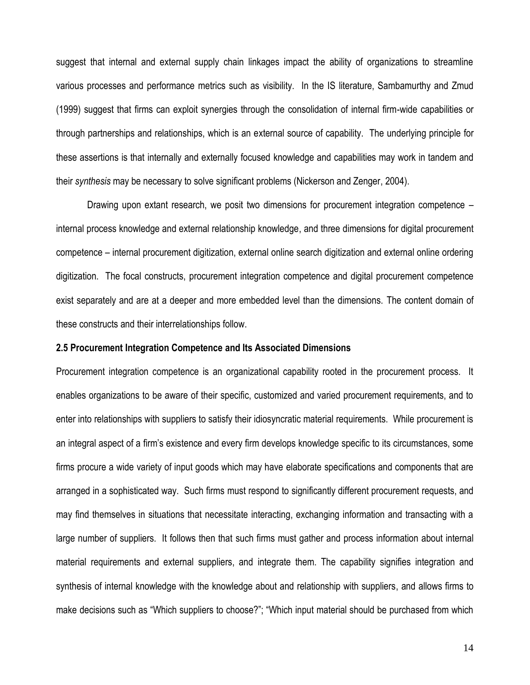suggest that internal and external supply chain linkages impact the ability of organizations to streamline various processes and performance metrics such as visibility. In the IS literature, Sambamurthy and Zmud (1999) suggest that firms can exploit synergies through the consolidation of internal firm-wide capabilities or through partnerships and relationships, which is an external source of capability. The underlying principle for these assertions is that internally and externally focused knowledge and capabilities may work in tandem and their *synthesis* may be necessary to solve significant problems (Nickerson and Zenger, 2004).

Drawing upon extant research, we posit two dimensions for procurement integration competence – internal process knowledge and external relationship knowledge, and three dimensions for digital procurement competence – internal procurement digitization, external online search digitization and external online ordering digitization. The focal constructs, procurement integration competence and digital procurement competence exist separately and are at a deeper and more embedded level than the dimensions. The content domain of these constructs and their interrelationships follow.

#### **2.5 Procurement Integration Competence and Its Associated Dimensions**

Procurement integration competence is an organizational capability rooted in the procurement process. It enables organizations to be aware of their specific, customized and varied procurement requirements, and to enter into relationships with suppliers to satisfy their idiosyncratic material requirements. While procurement is an integral aspect of a firm's existence and every firm develops knowledge specific to its circumstances, some firms procure a wide variety of input goods which may have elaborate specifications and components that are arranged in a sophisticated way. Such firms must respond to significantly different procurement requests, and may find themselves in situations that necessitate interacting, exchanging information and transacting with a large number of suppliers. It follows then that such firms must gather and process information about internal material requirements and external suppliers, and integrate them. The capability signifies integration and synthesis of internal knowledge with the knowledge about and relationship with suppliers, and allows firms to make decisions such as "Which suppliers to choose?"; "Which input material should be purchased from which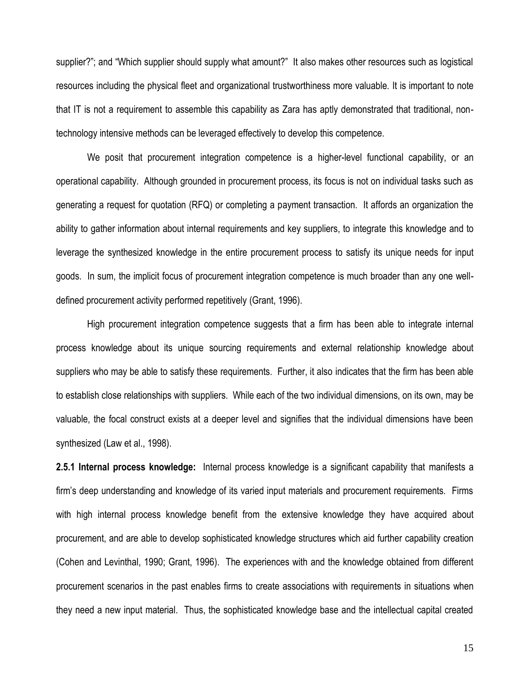supplier?"; and "Which supplier should supply what amount?" It also makes other resources such as logistical resources including the physical fleet and organizational trustworthiness more valuable. It is important to note that IT is not a requirement to assemble this capability as Zara has aptly demonstrated that traditional, nontechnology intensive methods can be leveraged effectively to develop this competence.

We posit that procurement integration competence is a higher-level functional capability, or an operational capability. Although grounded in procurement process, its focus is not on individual tasks such as generating a request for quotation (RFQ) or completing a payment transaction. It affords an organization the ability to gather information about internal requirements and key suppliers, to integrate this knowledge and to leverage the synthesized knowledge in the entire procurement process to satisfy its unique needs for input goods. In sum, the implicit focus of procurement integration competence is much broader than any one welldefined procurement activity performed repetitively (Grant, 1996).

High procurement integration competence suggests that a firm has been able to integrate internal process knowledge about its unique sourcing requirements and external relationship knowledge about suppliers who may be able to satisfy these requirements. Further, it also indicates that the firm has been able to establish close relationships with suppliers. While each of the two individual dimensions, on its own, may be valuable, the focal construct exists at a deeper level and signifies that the individual dimensions have been synthesized (Law et al., 1998).

**2.5.1 Internal process knowledge:** Internal process knowledge is a significant capability that manifests a firm's deep understanding and knowledge of its varied input materials and procurement requirements. Firms with high internal process knowledge benefit from the extensive knowledge they have acquired about procurement, and are able to develop sophisticated knowledge structures which aid further capability creation (Cohen and Levinthal, 1990; Grant, 1996). The experiences with and the knowledge obtained from different procurement scenarios in the past enables firms to create associations with requirements in situations when they need a new input material. Thus, the sophisticated knowledge base and the intellectual capital created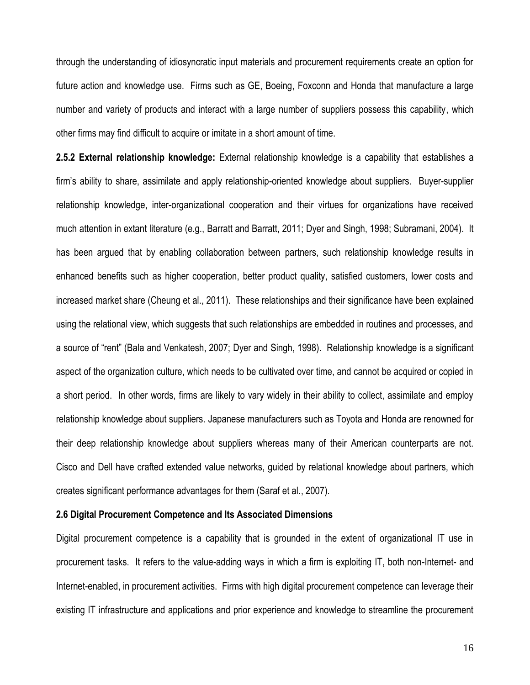through the understanding of idiosyncratic input materials and procurement requirements create an option for future action and knowledge use. Firms such as GE, Boeing, Foxconn and Honda that manufacture a large number and variety of products and interact with a large number of suppliers possess this capability, which other firms may find difficult to acquire or imitate in a short amount of time.

**2.5.2 External relationship knowledge:** External relationship knowledge is a capability that establishes a firm's ability to share, assimilate and apply relationship-oriented knowledge about suppliers. Buyer-supplier relationship knowledge, inter-organizational cooperation and their virtues for organizations have received much attention in extant literature (e.g., Barratt and Barratt, 2011; Dyer and Singh, 1998; Subramani, 2004). It has been argued that by enabling collaboration between partners, such relationship knowledge results in enhanced benefits such as higher cooperation, better product quality, satisfied customers, lower costs and increased market share (Cheung et al., 2011). These relationships and their significance have been explained using the relational view, which suggests that such relationships are embedded in routines and processes, and a source of "rent" (Bala and Venkatesh, 2007; Dyer and Singh, 1998). Relationship knowledge is a significant aspect of the organization culture, which needs to be cultivated over time, and cannot be acquired or copied in a short period. In other words, firms are likely to vary widely in their ability to collect, assimilate and employ relationship knowledge about suppliers. Japanese manufacturers such as Toyota and Honda are renowned for their deep relationship knowledge about suppliers whereas many of their American counterparts are not. Cisco and Dell have crafted extended value networks, guided by relational knowledge about partners, which creates significant performance advantages for them (Saraf et al., 2007).

#### **2.6 Digital Procurement Competence and Its Associated Dimensions**

Digital procurement competence is a capability that is grounded in the extent of organizational IT use in procurement tasks. It refers to the value-adding ways in which a firm is exploiting IT, both non-Internet- and Internet-enabled, in procurement activities. Firms with high digital procurement competence can leverage their existing IT infrastructure and applications and prior experience and knowledge to streamline the procurement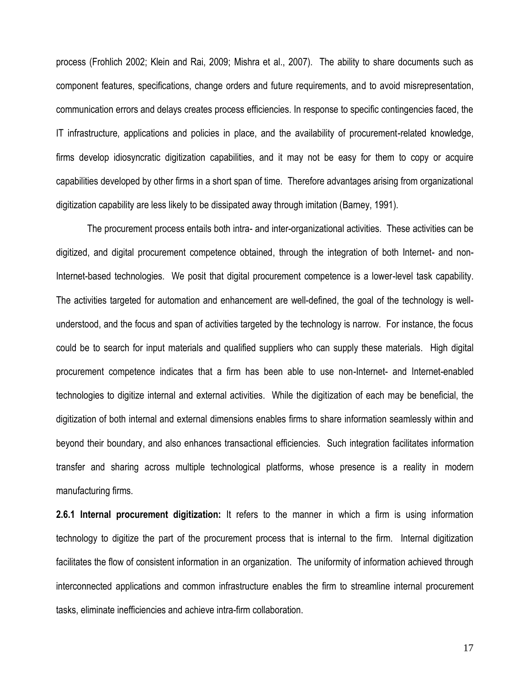process (Frohlich 2002; Klein and Rai, 2009; Mishra et al., 2007). The ability to share documents such as component features, specifications, change orders and future requirements, and to avoid misrepresentation, communication errors and delays creates process efficiencies. In response to specific contingencies faced, the IT infrastructure, applications and policies in place, and the availability of procurement-related knowledge, firms develop idiosyncratic digitization capabilities, and it may not be easy for them to copy or acquire capabilities developed by other firms in a short span of time. Therefore advantages arising from organizational digitization capability are less likely to be dissipated away through imitation (Barney, 1991).

The procurement process entails both intra- and inter-organizational activities. These activities can be digitized, and digital procurement competence obtained, through the integration of both Internet- and non-Internet-based technologies. We posit that digital procurement competence is a lower-level task capability. The activities targeted for automation and enhancement are well-defined, the goal of the technology is wellunderstood, and the focus and span of activities targeted by the technology is narrow. For instance, the focus could be to search for input materials and qualified suppliers who can supply these materials. High digital procurement competence indicates that a firm has been able to use non-Internet- and Internet-enabled technologies to digitize internal and external activities. While the digitization of each may be beneficial, the digitization of both internal and external dimensions enables firms to share information seamlessly within and beyond their boundary, and also enhances transactional efficiencies. Such integration facilitates information transfer and sharing across multiple technological platforms, whose presence is a reality in modern manufacturing firms.

**2.6.1 Internal procurement digitization:** It refers to the manner in which a firm is using information technology to digitize the part of the procurement process that is internal to the firm. Internal digitization facilitates the flow of consistent information in an organization. The uniformity of information achieved through interconnected applications and common infrastructure enables the firm to streamline internal procurement tasks, eliminate inefficiencies and achieve intra-firm collaboration.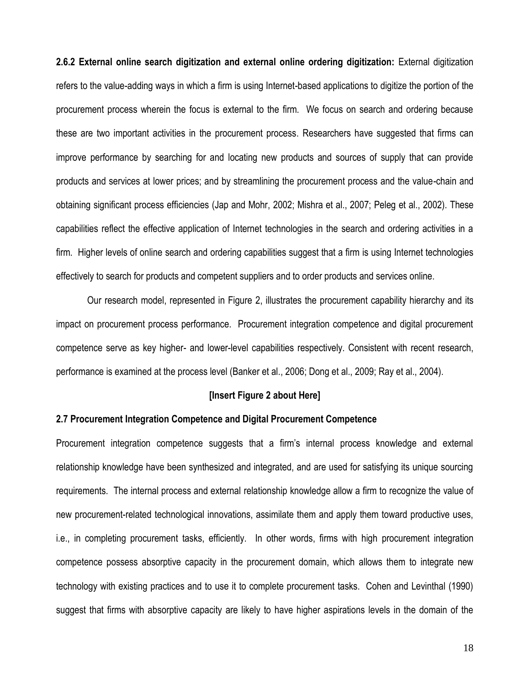**2.6.2 External online search digitization and external online ordering digitization:** External digitization refers to the value-adding ways in which a firm is using Internet-based applications to digitize the portion of the procurement process wherein the focus is external to the firm. We focus on search and ordering because these are two important activities in the procurement process. Researchers have suggested that firms can improve performance by searching for and locating new products and sources of supply that can provide products and services at lower prices; and by streamlining the procurement process and the value-chain and obtaining significant process efficiencies (Jap and Mohr, 2002; Mishra et al., 2007; Peleg et al., 2002). These capabilities reflect the effective application of Internet technologies in the search and ordering activities in a firm. Higher levels of online search and ordering capabilities suggest that a firm is using Internet technologies effectively to search for products and competent suppliers and to order products and services online.

Our research model, represented in Figure 2, illustrates the procurement capability hierarchy and its impact on procurement process performance. Procurement integration competence and digital procurement competence serve as key higher- and lower-level capabilities respectively. Consistent with recent research, performance is examined at the process level (Banker et al., 2006; Dong et al., 2009; Ray et al., 2004).

#### **[Insert Figure 2 about Here]**

#### **2.7 Procurement Integration Competence and Digital Procurement Competence**

Procurement integration competence suggests that a firm's internal process knowledge and external relationship knowledge have been synthesized and integrated, and are used for satisfying its unique sourcing requirements. The internal process and external relationship knowledge allow a firm to recognize the value of new procurement-related technological innovations, assimilate them and apply them toward productive uses, i.e., in completing procurement tasks, efficiently. In other words, firms with high procurement integration competence possess absorptive capacity in the procurement domain, which allows them to integrate new technology with existing practices and to use it to complete procurement tasks. Cohen and Levinthal (1990) suggest that firms with absorptive capacity are likely to have higher aspirations levels in the domain of the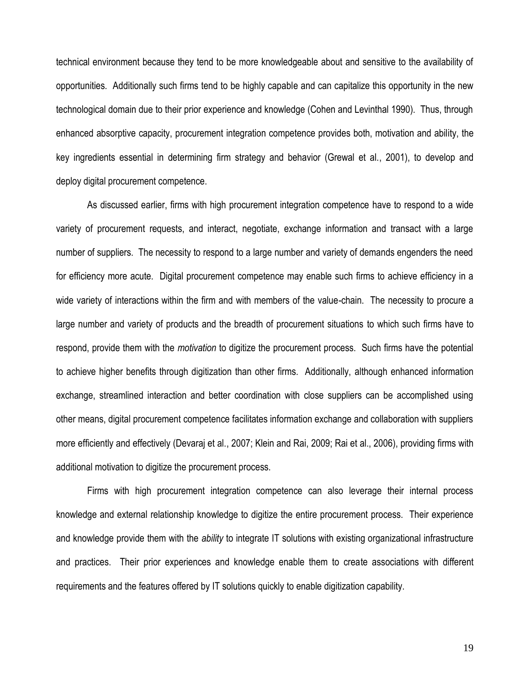technical environment because they tend to be more knowledgeable about and sensitive to the availability of opportunities. Additionally such firms tend to be highly capable and can capitalize this opportunity in the new technological domain due to their prior experience and knowledge (Cohen and Levinthal 1990). Thus, through enhanced absorptive capacity, procurement integration competence provides both, motivation and ability, the key ingredients essential in determining firm strategy and behavior (Grewal et al., 2001), to develop and deploy digital procurement competence.

As discussed earlier, firms with high procurement integration competence have to respond to a wide variety of procurement requests, and interact, negotiate, exchange information and transact with a large number of suppliers. The necessity to respond to a large number and variety of demands engenders the need for efficiency more acute. Digital procurement competence may enable such firms to achieve efficiency in a wide variety of interactions within the firm and with members of the value-chain. The necessity to procure a large number and variety of products and the breadth of procurement situations to which such firms have to respond, provide them with the *motivation* to digitize the procurement process. Such firms have the potential to achieve higher benefits through digitization than other firms. Additionally, although enhanced information exchange, streamlined interaction and better coordination with close suppliers can be accomplished using other means, digital procurement competence facilitates information exchange and collaboration with suppliers more efficiently and effectively (Devaraj et al., 2007; Klein and Rai, 2009; Rai et al., 2006), providing firms with additional motivation to digitize the procurement process.

Firms with high procurement integration competence can also leverage their internal process knowledge and external relationship knowledge to digitize the entire procurement process. Their experience and knowledge provide them with the *ability* to integrate IT solutions with existing organizational infrastructure and practices. Their prior experiences and knowledge enable them to create associations with different requirements and the features offered by IT solutions quickly to enable digitization capability.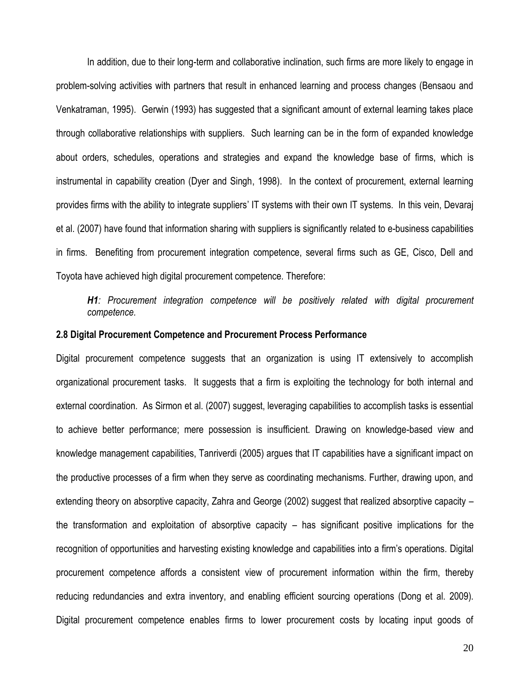In addition, due to their long-term and collaborative inclination, such firms are more likely to engage in problem-solving activities with partners that result in enhanced learning and process changes (Bensaou and Venkatraman, 1995). Gerwin (1993) has suggested that a significant amount of external learning takes place through collaborative relationships with suppliers. Such learning can be in the form of expanded knowledge about orders, schedules, operations and strategies and expand the knowledge base of firms, which is instrumental in capability creation (Dyer and Singh, 1998). In the context of procurement, external learning provides firms with the ability to integrate suppliers' IT systems with their own IT systems. In this vein, Devaraj et al. (2007) have found that information sharing with suppliers is significantly related to e-business capabilities in firms. Benefiting from procurement integration competence, several firms such as GE, Cisco, Dell and Toyota have achieved high digital procurement competence. Therefore:

*H1: Procurement integration competence will be positively related with digital procurement competence.*

#### **2.8 Digital Procurement Competence and Procurement Process Performance**

Digital procurement competence suggests that an organization is using IT extensively to accomplish organizational procurement tasks. It suggests that a firm is exploiting the technology for both internal and external coordination. As Sirmon et al. (2007) suggest, leveraging capabilities to accomplish tasks is essential to achieve better performance; mere possession is insufficient. Drawing on knowledge-based view and knowledge management capabilities, Tanriverdi (2005) argues that IT capabilities have a significant impact on the productive processes of a firm when they serve as coordinating mechanisms. Further, drawing upon, and extending theory on absorptive capacity, Zahra and George (2002) suggest that realized absorptive capacity – the transformation and exploitation of absorptive capacity – has significant positive implications for the recognition of opportunities and harvesting existing knowledge and capabilities into a firm's operations. Digital procurement competence affords a consistent view of procurement information within the firm, thereby reducing redundancies and extra inventory, and enabling efficient sourcing operations (Dong et al. 2009). Digital procurement competence enables firms to lower procurement costs by locating input goods of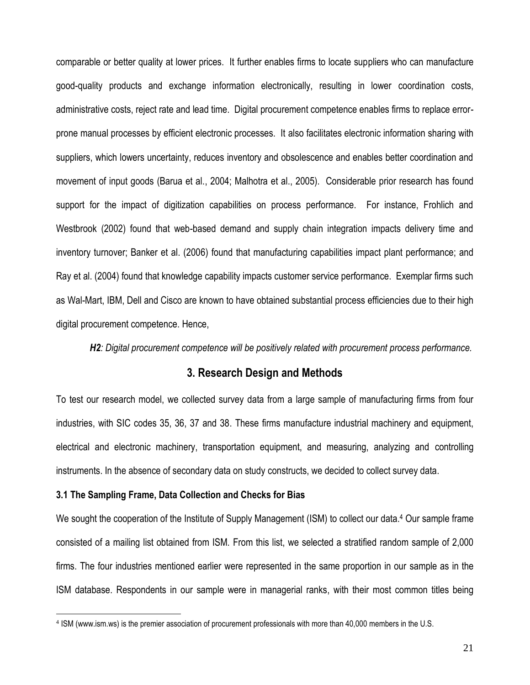comparable or better quality at lower prices. It further enables firms to locate suppliers who can manufacture good-quality products and exchange information electronically, resulting in lower coordination costs, administrative costs, reject rate and lead time. Digital procurement competence enables firms to replace errorprone manual processes by efficient electronic processes. It also facilitates electronic information sharing with suppliers, which lowers uncertainty, reduces inventory and obsolescence and enables better coordination and movement of input goods (Barua et al., 2004; Malhotra et al., 2005). Considerable prior research has found support for the impact of digitization capabilities on process performance. For instance, Frohlich and Westbrook (2002) found that web-based demand and supply chain integration impacts delivery time and inventory turnover; Banker et al. (2006) found that manufacturing capabilities impact plant performance; and Ray et al. (2004) found that knowledge capability impacts customer service performance. Exemplar firms such as Wal-Mart, IBM, Dell and Cisco are known to have obtained substantial process efficiencies due to their high digital procurement competence. Hence,

*H2: Digital procurement competence will be positively related with procurement process performance.*

# **3. Research Design and Methods**

To test our research model, we collected survey data from a large sample of manufacturing firms from four industries, with SIC codes 35, 36, 37 and 38. These firms manufacture industrial machinery and equipment, electrical and electronic machinery, transportation equipment, and measuring, analyzing and controlling instruments. In the absence of secondary data on study constructs, we decided to collect survey data.

#### **3.1 The Sampling Frame, Data Collection and Checks for Bias**

 $\overline{a}$ 

We sought the cooperation of the Institute of Supply Management (ISM) to collect our data.<sup>4</sup> Our sample frame consisted of a mailing list obtained from ISM. From this list, we selected a stratified random sample of 2,000 firms. The four industries mentioned earlier were represented in the same proportion in our sample as in the ISM database. Respondents in our sample were in managerial ranks, with their most common titles being

<sup>4</sup> ISM (www.ism.ws) is the premier association of procurement professionals with more than 40,000 members in the U.S.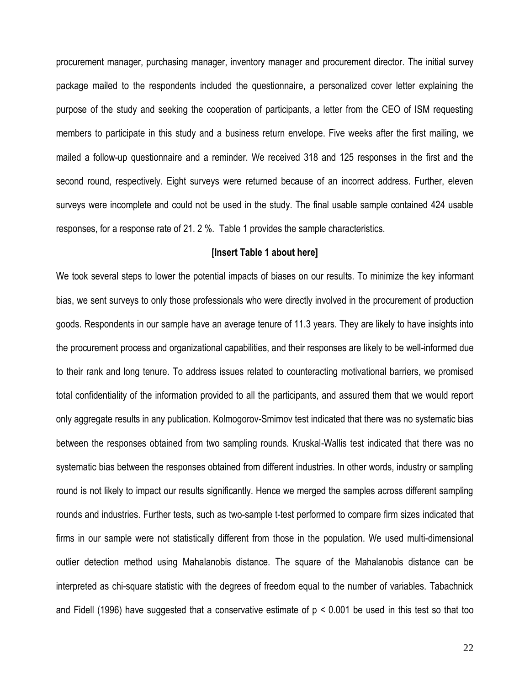procurement manager, purchasing manager, inventory manager and procurement director. The initial survey package mailed to the respondents included the questionnaire, a personalized cover letter explaining the purpose of the study and seeking the cooperation of participants, a letter from the CEO of ISM requesting members to participate in this study and a business return envelope. Five weeks after the first mailing, we mailed a follow-up questionnaire and a reminder. We received 318 and 125 responses in the first and the second round, respectively. Eight surveys were returned because of an incorrect address. Further, eleven surveys were incomplete and could not be used in the study. The final usable sample contained 424 usable responses, for a response rate of 21. 2 %. Table 1 provides the sample characteristics.

#### **[Insert Table 1 about here]**

We took several steps to lower the potential impacts of biases on our results. To minimize the key informant bias, we sent surveys to only those professionals who were directly involved in the procurement of production goods. Respondents in our sample have an average tenure of 11.3 years. They are likely to have insights into the procurement process and organizational capabilities, and their responses are likely to be well-informed due to their rank and long tenure. To address issues related to counteracting motivational barriers, we promised total confidentiality of the information provided to all the participants, and assured them that we would report only aggregate results in any publication. Kolmogorov-Smirnov test indicated that there was no systematic bias between the responses obtained from two sampling rounds. Kruskal-Wallis test indicated that there was no systematic bias between the responses obtained from different industries. In other words, industry or sampling round is not likely to impact our results significantly. Hence we merged the samples across different sampling rounds and industries. Further tests, such as two-sample t-test performed to compare firm sizes indicated that firms in our sample were not statistically different from those in the population. We used multi-dimensional outlier detection method using Mahalanobis distance. The square of the Mahalanobis distance can be interpreted as chi-square statistic with the degrees of freedom equal to the number of variables. Tabachnick and Fidell (1996) have suggested that a conservative estimate of  $p < 0.001$  be used in this test so that too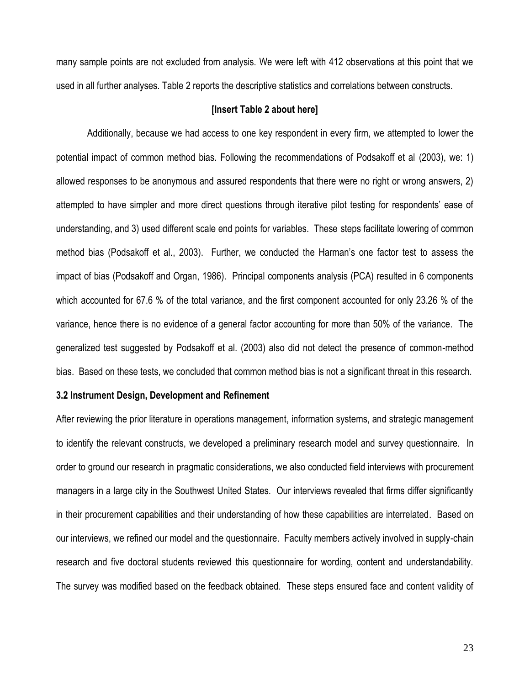many sample points are not excluded from analysis. We were left with 412 observations at this point that we used in all further analyses. Table 2 reports the descriptive statistics and correlations between constructs.

#### **[Insert Table 2 about here]**

Additionally, because we had access to one key respondent in every firm, we attempted to lower the potential impact of common method bias. Following the recommendations of Podsakoff et al (2003), we: 1) allowed responses to be anonymous and assured respondents that there were no right or wrong answers, 2) attempted to have simpler and more direct questions through iterative pilot testing for respondents' ease of understanding, and 3) used different scale end points for variables. These steps facilitate lowering of common method bias (Podsakoff et al., 2003). Further, we conducted the Harman's one factor test to assess the impact of bias (Podsakoff and Organ, 1986). Principal components analysis (PCA) resulted in 6 components which accounted for 67.6 % of the total variance, and the first component accounted for only 23.26 % of the variance, hence there is no evidence of a general factor accounting for more than 50% of the variance. The generalized test suggested by Podsakoff et al. (2003) also did not detect the presence of common-method bias. Based on these tests, we concluded that common method bias is not a significant threat in this research.

#### **3.2 Instrument Design, Development and Refinement**

After reviewing the prior literature in operations management, information systems, and strategic management to identify the relevant constructs, we developed a preliminary research model and survey questionnaire. In order to ground our research in pragmatic considerations, we also conducted field interviews with procurement managers in a large city in the Southwest United States. Our interviews revealed that firms differ significantly in their procurement capabilities and their understanding of how these capabilities are interrelated. Based on our interviews, we refined our model and the questionnaire. Faculty members actively involved in supply-chain research and five doctoral students reviewed this questionnaire for wording, content and understandability. The survey was modified based on the feedback obtained. These steps ensured face and content validity of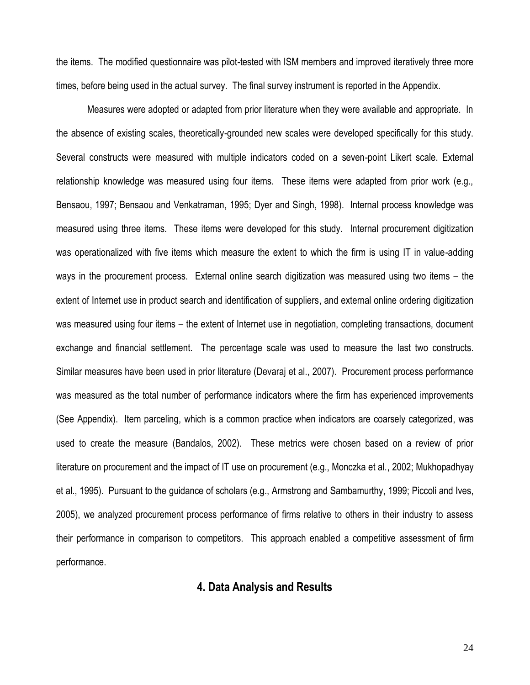the items. The modified questionnaire was pilot-tested with ISM members and improved iteratively three more times, before being used in the actual survey. The final survey instrument is reported in the Appendix.

Measures were adopted or adapted from prior literature when they were available and appropriate. In the absence of existing scales, theoretically-grounded new scales were developed specifically for this study. Several constructs were measured with multiple indicators coded on a seven-point Likert scale. External relationship knowledge was measured using four items. These items were adapted from prior work (e.g., Bensaou, 1997; Bensaou and Venkatraman, 1995; Dyer and Singh, 1998). Internal process knowledge was measured using three items. These items were developed for this study. Internal procurement digitization was operationalized with five items which measure the extent to which the firm is using IT in value-adding ways in the procurement process. External online search digitization was measured using two items – the extent of Internet use in product search and identification of suppliers, and external online ordering digitization was measured using four items – the extent of Internet use in negotiation, completing transactions, document exchange and financial settlement. The percentage scale was used to measure the last two constructs. Similar measures have been used in prior literature (Devaraj et al., 2007). Procurement process performance was measured as the total number of performance indicators where the firm has experienced improvements (See Appendix). Item parceling, which is a common practice when indicators are coarsely categorized, was used to create the measure (Bandalos, 2002). These metrics were chosen based on a review of prior literature on procurement and the impact of IT use on procurement (e.g., Monczka et al., 2002; Mukhopadhyay et al., 1995). Pursuant to the guidance of scholars (e.g., Armstrong and Sambamurthy, 1999; Piccoli and Ives, 2005), we analyzed procurement process performance of firms relative to others in their industry to assess their performance in comparison to competitors. This approach enabled a competitive assessment of firm performance.

## **4. Data Analysis and Results**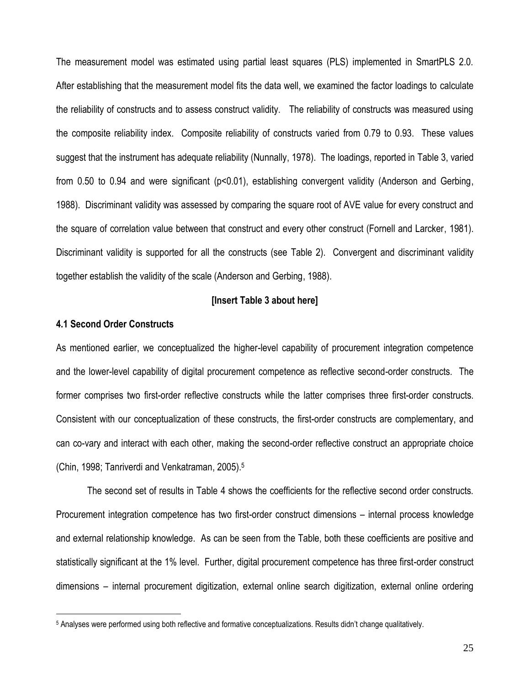The measurement model was estimated using partial least squares (PLS) implemented in SmartPLS 2.0. After establishing that the measurement model fits the data well, we examined the factor loadings to calculate the reliability of constructs and to assess construct validity. The reliability of constructs was measured using the composite reliability index. Composite reliability of constructs varied from 0.79 to 0.93. These values suggest that the instrument has adequate reliability (Nunnally, 1978). The loadings, reported in Table 3, varied from 0.50 to 0.94 and were significant (p<0.01), establishing convergent validity (Anderson and Gerbing, 1988). Discriminant validity was assessed by comparing the square root of AVE value for every construct and the square of correlation value between that construct and every other construct (Fornell and Larcker, 1981). Discriminant validity is supported for all the constructs (see Table 2). Convergent and discriminant validity together establish the validity of the scale (Anderson and Gerbing, 1988).

#### **[Insert Table 3 about here]**

#### **4.1 Second Order Constructs**

 $\overline{a}$ 

As mentioned earlier, we conceptualized the higher-level capability of procurement integration competence and the lower-level capability of digital procurement competence as reflective second-order constructs. The former comprises two first-order reflective constructs while the latter comprises three first-order constructs. Consistent with our conceptualization of these constructs, the first-order constructs are complementary, and can co-vary and interact with each other, making the second-order reflective construct an appropriate choice (Chin, 1998; Tanriverdi and Venkatraman, 2005).<sup>5</sup>

The second set of results in Table 4 shows the coefficients for the reflective second order constructs. Procurement integration competence has two first-order construct dimensions – internal process knowledge and external relationship knowledge. As can be seen from the Table, both these coefficients are positive and statistically significant at the 1% level. Further, digital procurement competence has three first-order construct dimensions – internal procurement digitization, external online search digitization, external online ordering

<sup>5</sup> Analyses were performed using both reflective and formative conceptualizations. Results didn't change qualitatively.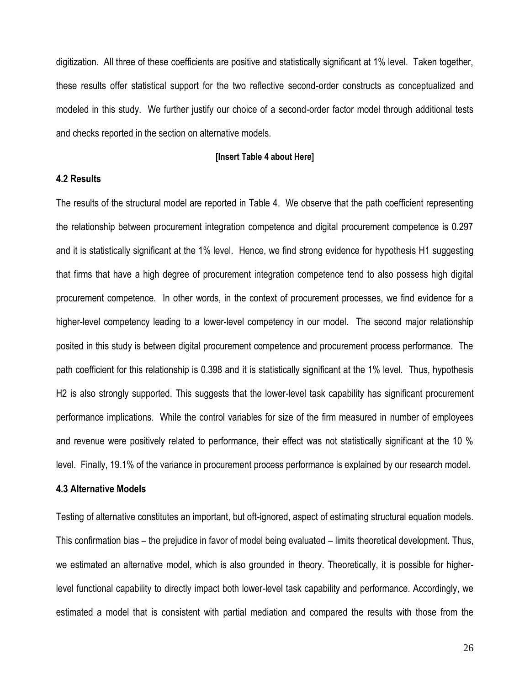digitization. All three of these coefficients are positive and statistically significant at 1% level. Taken together, these results offer statistical support for the two reflective second-order constructs as conceptualized and modeled in this study. We further justify our choice of a second-order factor model through additional tests and checks reported in the section on alternative models.

#### **[Insert Table 4 about Here]**

#### **4.2 Results**

The results of the structural model are reported in Table 4. We observe that the path coefficient representing the relationship between procurement integration competence and digital procurement competence is 0.297 and it is statistically significant at the 1% level. Hence, we find strong evidence for hypothesis H1 suggesting that firms that have a high degree of procurement integration competence tend to also possess high digital procurement competence. In other words, in the context of procurement processes, we find evidence for a higher-level competency leading to a lower-level competency in our model. The second major relationship posited in this study is between digital procurement competence and procurement process performance. The path coefficient for this relationship is 0.398 and it is statistically significant at the 1% level. Thus, hypothesis H2 is also strongly supported. This suggests that the lower-level task capability has significant procurement performance implications. While the control variables for size of the firm measured in number of employees and revenue were positively related to performance, their effect was not statistically significant at the 10 % level. Finally, 19.1% of the variance in procurement process performance is explained by our research model.

#### **4.3 Alternative Models**

Testing of alternative constitutes an important, but oft-ignored, aspect of estimating structural equation models. This confirmation bias – the prejudice in favor of model being evaluated – limits theoretical development. Thus, we estimated an alternative model, which is also grounded in theory. Theoretically, it is possible for higherlevel functional capability to directly impact both lower-level task capability and performance. Accordingly, we estimated a model that is consistent with partial mediation and compared the results with those from the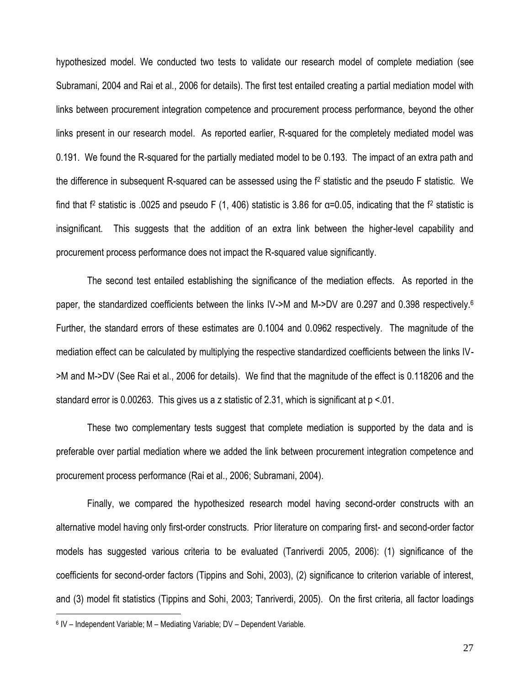hypothesized model. We conducted two tests to validate our research model of complete mediation (see Subramani, 2004 and Rai et al., 2006 for details). The first test entailed creating a partial mediation model with links between procurement integration competence and procurement process performance, beyond the other links present in our research model. As reported earlier, R-squared for the completely mediated model was 0.191. We found the R-squared for the partially mediated model to be 0.193. The impact of an extra path and the difference in subsequent R-squared can be assessed using the f<sup>2</sup> statistic and the pseudo F statistic. We find that  $f^2$  statistic is .0025 and pseudo F (1, 406) statistic is 3.86 for  $\alpha$ =0.05, indicating that the  $f^2$  statistic is insignificant. This suggests that the addition of an extra link between the higher-level capability and procurement process performance does not impact the R-squared value significantly.

The second test entailed establishing the significance of the mediation effects. As reported in the paper, the standardized coefficients between the links IV->M and M->DV are 0.297 and 0.398 respectively.<sup>6</sup> Further, the standard errors of these estimates are 0.1004 and 0.0962 respectively. The magnitude of the mediation effect can be calculated by multiplying the respective standardized coefficients between the links IV- >M and M->DV (See Rai et al., 2006 for details). We find that the magnitude of the effect is 0.118206 and the standard error is 0.00263. This gives us a z statistic of 2.31, which is significant at  $p < 01$ .

These two complementary tests suggest that complete mediation is supported by the data and is preferable over partial mediation where we added the link between procurement integration competence and procurement process performance (Rai et al., 2006; Subramani, 2004).

Finally, we compared the hypothesized research model having second-order constructs with an alternative model having only first-order constructs. Prior literature on comparing first- and second-order factor models has suggested various criteria to be evaluated (Tanriverdi 2005, 2006): (1) significance of the coefficients for second-order factors (Tippins and Sohi, 2003), (2) significance to criterion variable of interest, and (3) model fit statistics (Tippins and Sohi, 2003; Tanriverdi, 2005). On the first criteria, all factor loadings

 $\overline{a}$ 

<sup>6</sup> IV – Independent Variable; M – Mediating Variable; DV – Dependent Variable.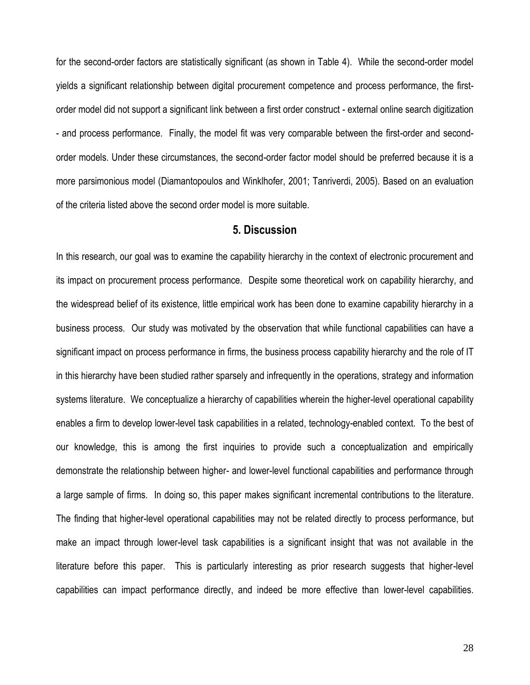for the second-order factors are statistically significant (as shown in Table 4). While the second-order model yields a significant relationship between digital procurement competence and process performance, the firstorder model did not support a significant link between a first order construct - external online search digitization - and process performance. Finally, the model fit was very comparable between the first-order and secondorder models. Under these circumstances, the second-order factor model should be preferred because it is a more parsimonious model (Diamantopoulos and Winklhofer, 2001; Tanriverdi, 2005). Based on an evaluation of the criteria listed above the second order model is more suitable.

## **5. Discussion**

In this research, our goal was to examine the capability hierarchy in the context of electronic procurement and its impact on procurement process performance. Despite some theoretical work on capability hierarchy, and the widespread belief of its existence, little empirical work has been done to examine capability hierarchy in a business process. Our study was motivated by the observation that while functional capabilities can have a significant impact on process performance in firms, the business process capability hierarchy and the role of IT in this hierarchy have been studied rather sparsely and infrequently in the operations, strategy and information systems literature. We conceptualize a hierarchy of capabilities wherein the higher-level operational capability enables a firm to develop lower-level task capabilities in a related, technology-enabled context. To the best of our knowledge, this is among the first inquiries to provide such a conceptualization and empirically demonstrate the relationship between higher- and lower-level functional capabilities and performance through a large sample of firms. In doing so, this paper makes significant incremental contributions to the literature. The finding that higher-level operational capabilities may not be related directly to process performance, but make an impact through lower-level task capabilities is a significant insight that was not available in the literature before this paper. This is particularly interesting as prior research suggests that higher-level capabilities can impact performance directly, and indeed be more effective than lower-level capabilities.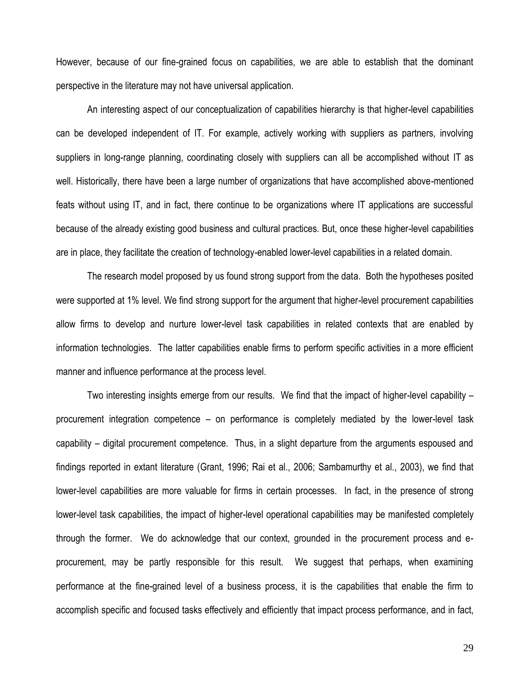However, because of our fine-grained focus on capabilities, we are able to establish that the dominant perspective in the literature may not have universal application.

An interesting aspect of our conceptualization of capabilities hierarchy is that higher-level capabilities can be developed independent of IT. For example, actively working with suppliers as partners, involving suppliers in long-range planning, coordinating closely with suppliers can all be accomplished without IT as well. Historically, there have been a large number of organizations that have accomplished above-mentioned feats without using IT, and in fact, there continue to be organizations where IT applications are successful because of the already existing good business and cultural practices. But, once these higher-level capabilities are in place, they facilitate the creation of technology-enabled lower-level capabilities in a related domain.

The research model proposed by us found strong support from the data. Both the hypotheses posited were supported at 1% level. We find strong support for the argument that higher-level procurement capabilities allow firms to develop and nurture lower-level task capabilities in related contexts that are enabled by information technologies. The latter capabilities enable firms to perform specific activities in a more efficient manner and influence performance at the process level.

Two interesting insights emerge from our results. We find that the impact of higher-level capability – procurement integration competence – on performance is completely mediated by the lower-level task capability – digital procurement competence. Thus, in a slight departure from the arguments espoused and findings reported in extant literature (Grant, 1996; Rai et al., 2006; Sambamurthy et al., 2003), we find that lower-level capabilities are more valuable for firms in certain processes. In fact, in the presence of strong lower-level task capabilities, the impact of higher-level operational capabilities may be manifested completely through the former. We do acknowledge that our context, grounded in the procurement process and eprocurement, may be partly responsible for this result. We suggest that perhaps, when examining performance at the fine-grained level of a business process, it is the capabilities that enable the firm to accomplish specific and focused tasks effectively and efficiently that impact process performance, and in fact,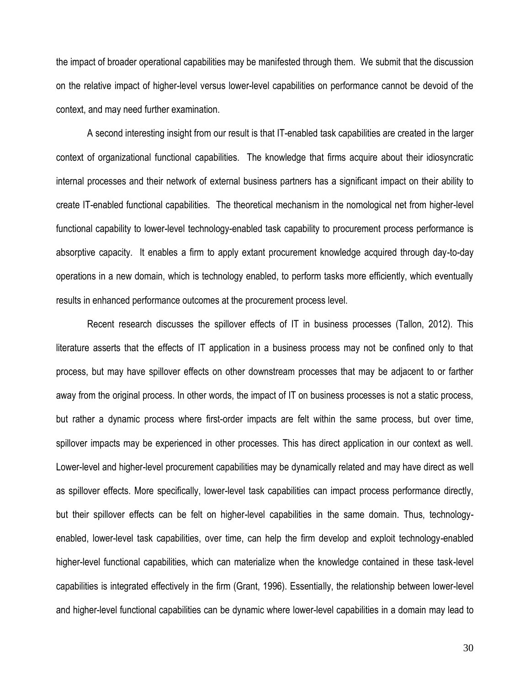the impact of broader operational capabilities may be manifested through them. We submit that the discussion on the relative impact of higher-level versus lower-level capabilities on performance cannot be devoid of the context, and may need further examination.

A second interesting insight from our result is that IT-enabled task capabilities are created in the larger context of organizational functional capabilities. The knowledge that firms acquire about their idiosyncratic internal processes and their network of external business partners has a significant impact on their ability to create IT-enabled functional capabilities. The theoretical mechanism in the nomological net from higher-level functional capability to lower-level technology-enabled task capability to procurement process performance is absorptive capacity. It enables a firm to apply extant procurement knowledge acquired through day-to-day operations in a new domain, which is technology enabled, to perform tasks more efficiently, which eventually results in enhanced performance outcomes at the procurement process level.

Recent research discusses the spillover effects of IT in business processes (Tallon, 2012). This literature asserts that the effects of IT application in a business process may not be confined only to that process, but may have spillover effects on other downstream processes that may be adjacent to or farther away from the original process. In other words, the impact of IT on business processes is not a static process, but rather a dynamic process where first-order impacts are felt within the same process, but over time, spillover impacts may be experienced in other processes. This has direct application in our context as well. Lower-level and higher-level procurement capabilities may be dynamically related and may have direct as well as spillover effects. More specifically, lower-level task capabilities can impact process performance directly, but their spillover effects can be felt on higher-level capabilities in the same domain. Thus, technologyenabled, lower-level task capabilities, over time, can help the firm develop and exploit technology-enabled higher-level functional capabilities, which can materialize when the knowledge contained in these task-level capabilities is integrated effectively in the firm (Grant, 1996). Essentially, the relationship between lower-level and higher-level functional capabilities can be dynamic where lower-level capabilities in a domain may lead to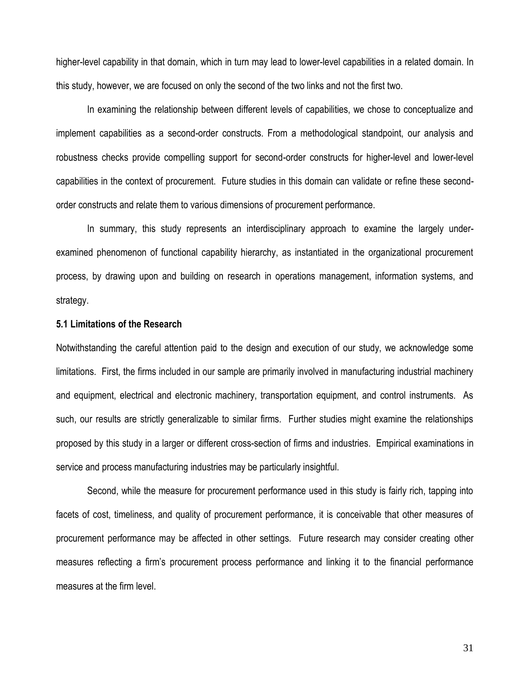higher-level capability in that domain, which in turn may lead to lower-level capabilities in a related domain. In this study, however, we are focused on only the second of the two links and not the first two.

In examining the relationship between different levels of capabilities, we chose to conceptualize and implement capabilities as a second-order constructs. From a methodological standpoint, our analysis and robustness checks provide compelling support for second-order constructs for higher-level and lower-level capabilities in the context of procurement. Future studies in this domain can validate or refine these secondorder constructs and relate them to various dimensions of procurement performance.

In summary, this study represents an interdisciplinary approach to examine the largely underexamined phenomenon of functional capability hierarchy, as instantiated in the organizational procurement process, by drawing upon and building on research in operations management, information systems, and strategy.

#### **5.1 Limitations of the Research**

Notwithstanding the careful attention paid to the design and execution of our study, we acknowledge some limitations. First, the firms included in our sample are primarily involved in manufacturing industrial machinery and equipment, electrical and electronic machinery, transportation equipment, and control instruments. As such, our results are strictly generalizable to similar firms. Further studies might examine the relationships proposed by this study in a larger or different cross-section of firms and industries. Empirical examinations in service and process manufacturing industries may be particularly insightful.

Second, while the measure for procurement performance used in this study is fairly rich, tapping into facets of cost, timeliness, and quality of procurement performance, it is conceivable that other measures of procurement performance may be affected in other settings. Future research may consider creating other measures reflecting a firm's procurement process performance and linking it to the financial performance measures at the firm level.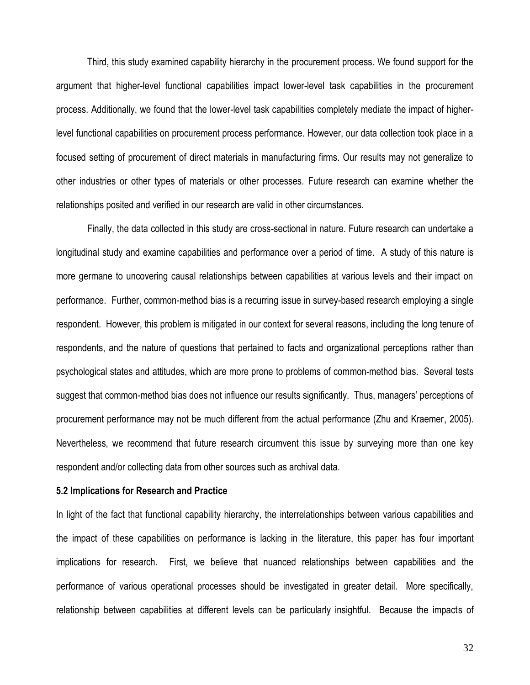Third, this study examined capability hierarchy in the procurement process. We found support for the argument that higher-level functional capabilities impact lower-level task capabilities in the procurement process. Additionally, we found that the lower-level task capabilities completely mediate the impact of higherlevel functional capabilities on procurement process performance. However, our data collection took place in a focused setting of procurement of direct materials in manufacturing firms. Our results may not generalize to other industries or other types of materials or other processes. Future research can examine whether the relationships posited and verified in our research are valid in other circumstances.

Finally, the data collected in this study are cross-sectional in nature. Future research can undertake a longitudinal study and examine capabilities and performance over a period of time. A study of this nature is more germane to uncovering causal relationships between capabilities at various levels and their impact on performance. Further, common-method bias is a recurring issue in survey-based research employing a single respondent. However, this problem is mitigated in our context for several reasons, including the long tenure of respondents, and the nature of questions that pertained to facts and organizational perceptions rather than psychological states and attitudes, which are more prone to problems of common-method bias. Several tests suggest that common-method bias does not influence our results significantly. Thus, managers' perceptions of procurement performance may not be much different from the actual performance (Zhu and Kraemer, 2005). Nevertheless, we recommend that future research circumvent this issue by surveying more than one key respondent and/or collecting data from other sources such as archival data.

#### **5.2 Implications for Research and Practice**

In light of the fact that functional capability hierarchy, the interrelationships between various capabilities and the impact of these capabilities on performance is lacking in the literature, this paper has four important implications for research. First, we believe that nuanced relationships between capabilities and the performance of various operational processes should be investigated in greater detail. More specifically, relationship between capabilities at different levels can be particularly insightful. Because the impacts of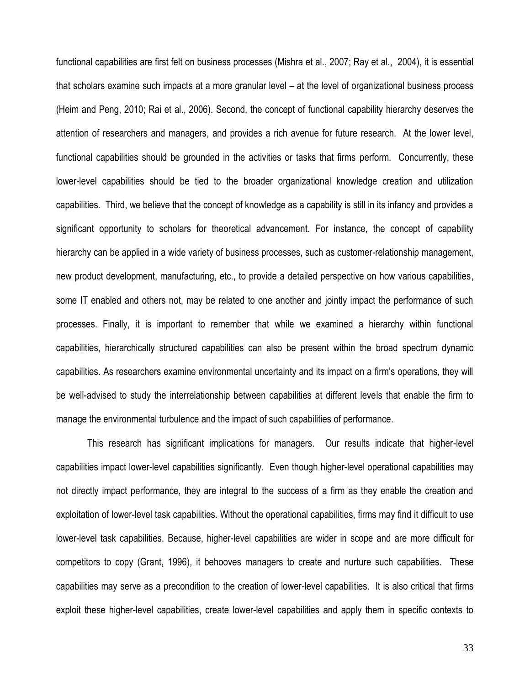functional capabilities are first felt on business processes (Mishra et al., 2007; Ray et al., 2004), it is essential that scholars examine such impacts at a more granular level – at the level of organizational business process (Heim and Peng, 2010; Rai et al., 2006). Second, the concept of functional capability hierarchy deserves the attention of researchers and managers, and provides a rich avenue for future research. At the lower level, functional capabilities should be grounded in the activities or tasks that firms perform. Concurrently, these lower-level capabilities should be tied to the broader organizational knowledge creation and utilization capabilities. Third, we believe that the concept of knowledge as a capability is still in its infancy and provides a significant opportunity to scholars for theoretical advancement. For instance, the concept of capability hierarchy can be applied in a wide variety of business processes, such as customer-relationship management, new product development, manufacturing, etc., to provide a detailed perspective on how various capabilities, some IT enabled and others not, may be related to one another and jointly impact the performance of such processes. Finally, it is important to remember that while we examined a hierarchy within functional capabilities, hierarchically structured capabilities can also be present within the broad spectrum dynamic capabilities. As researchers examine environmental uncertainty and its impact on a firm's operations, they will be well-advised to study the interrelationship between capabilities at different levels that enable the firm to manage the environmental turbulence and the impact of such capabilities of performance.

This research has significant implications for managers. Our results indicate that higher-level capabilities impact lower-level capabilities significantly. Even though higher-level operational capabilities may not directly impact performance, they are integral to the success of a firm as they enable the creation and exploitation of lower-level task capabilities. Without the operational capabilities, firms may find it difficult to use lower-level task capabilities. Because, higher-level capabilities are wider in scope and are more difficult for competitors to copy (Grant, 1996), it behooves managers to create and nurture such capabilities. These capabilities may serve as a precondition to the creation of lower-level capabilities. It is also critical that firms exploit these higher-level capabilities, create lower-level capabilities and apply them in specific contexts to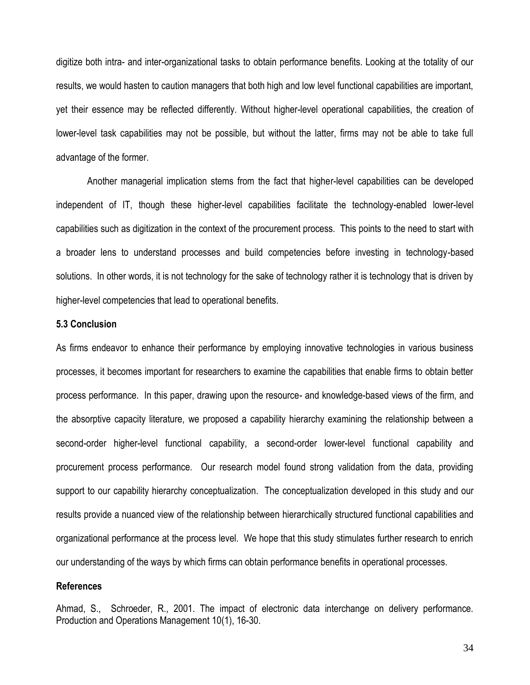digitize both intra- and inter-organizational tasks to obtain performance benefits. Looking at the totality of our results, we would hasten to caution managers that both high and low level functional capabilities are important, yet their essence may be reflected differently. Without higher-level operational capabilities, the creation of lower-level task capabilities may not be possible, but without the latter, firms may not be able to take full advantage of the former.

Another managerial implication stems from the fact that higher-level capabilities can be developed independent of IT, though these higher-level capabilities facilitate the technology-enabled lower-level capabilities such as digitization in the context of the procurement process. This points to the need to start with a broader lens to understand processes and build competencies before investing in technology-based solutions. In other words, it is not technology for the sake of technology rather it is technology that is driven by higher-level competencies that lead to operational benefits.

#### **5.3 Conclusion**

As firms endeavor to enhance their performance by employing innovative technologies in various business processes, it becomes important for researchers to examine the capabilities that enable firms to obtain better process performance. In this paper, drawing upon the resource- and knowledge-based views of the firm, and the absorptive capacity literature, we proposed a capability hierarchy examining the relationship between a second-order higher-level functional capability, a second-order lower-level functional capability and procurement process performance. Our research model found strong validation from the data, providing support to our capability hierarchy conceptualization. The conceptualization developed in this study and our results provide a nuanced view of the relationship between hierarchically structured functional capabilities and organizational performance at the process level. We hope that this study stimulates further research to enrich our understanding of the ways by which firms can obtain performance benefits in operational processes.

#### **References**

Ahmad, S., Schroeder, R., 2001. The impact of electronic data interchange on delivery performance. Production and Operations Management 10(1), 16-30.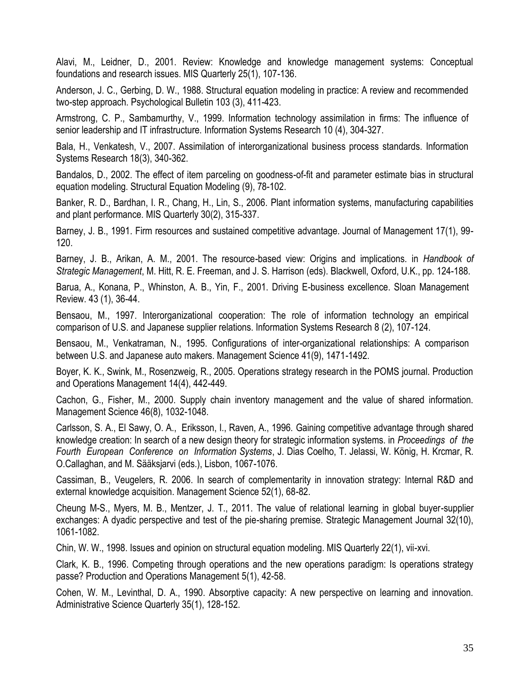Alavi, M., Leidner, D., 2001. Review: Knowledge and knowledge management systems: Conceptual foundations and research issues. MIS Quarterly 25(1), 107-136.

Anderson, J. C., Gerbing, D. W., 1988. Structural equation modeling in practice: A review and recommended two-step approach. Psychological Bulletin 103 (3), 411-423.

Armstrong, C. P., Sambamurthy, V., 1999. Information technology assimilation in firms: The influence of senior leadership and IT infrastructure. Information Systems Research 10 (4), 304-327.

Bala, H., Venkatesh, V., 2007. Assimilation of interorganizational business process standards. Information Systems Research 18(3), 340-362.

Bandalos, D., 2002. The effect of item parceling on goodness-of-fit and parameter estimate bias in structural equation modeling. Structural Equation Modeling (9), 78-102.

Banker, R. D., Bardhan, I. R., Chang, H., Lin, S., 2006. Plant information systems, manufacturing capabilities and plant performance. MIS Quarterly 30(2), 315-337.

Barney, J. B., 1991. Firm resources and sustained competitive advantage. Journal of Management 17(1), 99- 120.

Barney, J. B., Arikan, A. M., 2001. The resource-based view: Origins and implications. in *Handbook of Strategic Management*, M. Hitt, R. E. Freeman, and J. S. Harrison (eds). Blackwell, Oxford, U.K., pp. 124-188.

Barua, A., Konana, P., Whinston, A. B., Yin, F., 2001. Driving E-business excellence. Sloan Management Review. 43 (1), 36-44.

Bensaou, M., 1997. Interorganizational cooperation: The role of information technology an empirical comparison of U.S. and Japanese supplier relations. Information Systems Research 8 (2), 107-124.

Bensaou, M., Venkatraman, N., 1995. Configurations of inter-organizational relationships: A comparison between U.S. and Japanese auto makers. Management Science 41(9), 1471-1492.

Boyer, K. K., Swink, M., Rosenzweig, R., 2005. Operations strategy research in the POMS journal. Production and Operations Management 14(4), 442-449.

Cachon, G., Fisher, M., 2000. Supply chain inventory management and the value of shared information. Management Science 46(8), 1032-1048.

Carlsson, S. A., El Sawy, O. A., Eriksson, I., Raven, A., 1996. Gaining competitive advantage through shared knowledge creation: In search of a new design theory for strategic information systems. in *Proceedings of the Fourth European Conference on Information Systems*, J. Dias Coelho, T. Jelassi, W. König, H. Krcmar, R. O.Callaghan, and M. Sääksjarvi (eds.), Lisbon, 1067-1076.

Cassiman, B., Veugelers, R. 2006. In search of complementarity in innovation strategy: Internal R&D and external knowledge acquisition. Management Science 52(1), 68-82.

Cheung M-S., Myers, M. B., Mentzer, J. T., 2011. The value of relational learning in global buyer-supplier exchanges: A dyadic perspective and test of the pie-sharing premise. Strategic Management Journal 32(10), 1061-1082.

Chin, W. W., 1998. Issues and opinion on structural equation modeling. MIS Quarterly 22(1), vii-xvi.

Clark, K. B., 1996. Competing through operations and the new operations paradigm: Is operations strategy passe? Production and Operations Management 5(1), 42-58.

Cohen, W. M., Levinthal, D. A., 1990. Absorptive capacity: A new perspective on learning and innovation. Administrative Science Quarterly 35(1), 128-152.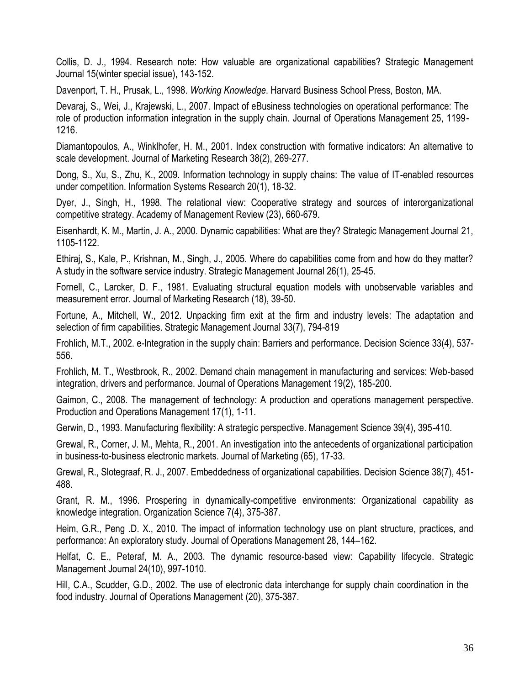Collis, D. J., 1994. Research note: How valuable are organizational capabilities? Strategic Management Journal 15(winter special issue), 143-152.

Davenport, T. H., Prusak, L., 1998. *Working Knowledge*. Harvard Business School Press, Boston, MA.

Devaraj, S., Wei, J., Krajewski, L., 2007. Impact of eBusiness technologies on operational performance: The role of production information integration in the supply chain. Journal of Operations Management 25, 1199- 1216.

Diamantopoulos, A., Winklhofer, H. M., 2001. Index construction with formative indicators: An alternative to scale development. Journal of Marketing Research 38(2), 269-277.

Dong, S., Xu, S., Zhu, K., 2009. Information technology in supply chains: The value of IT-enabled resources under competition. Information Systems Research 20(1), 18-32.

Dyer, J., Singh, H., 1998. The relational view: Cooperative strategy and sources of interorganizational competitive strategy. Academy of Management Review (23), 660-679.

Eisenhardt, K. M., Martin, J. A., 2000. Dynamic capabilities: What are they? Strategic Management Journal 21, 1105-1122.

Ethiraj, S., Kale, P., Krishnan, M., Singh, J., 2005. Where do capabilities come from and how do they matter? A study in the software service industry. Strategic Management Journal 26(1), 25-45.

Fornell, C., Larcker, D. F., 1981. Evaluating structural equation models with unobservable variables and measurement error. Journal of Marketing Research (18), 39-50.

Fortune, A., Mitchell, W., 2012. Unpacking firm exit at the firm and industry levels: The adaptation and selection of firm capabilities. Strategic Management Journal 33(7), 794-819

Frohlich, M.T., 2002. e-Integration in the supply chain: Barriers and performance. Decision Science 33(4), 537- 556.

Frohlich, M. T., Westbrook, R., 2002. Demand chain management in manufacturing and services: Web-based integration, drivers and performance. Journal of Operations Management 19(2), 185-200.

Gaimon, C., 2008. The management of technology: A production and operations management perspective. Production and Operations Management 17(1), 1-11.

Gerwin, D., 1993. Manufacturing flexibility: A strategic perspective. Management Science 39(4), 395-410.

Grewal, R., Corner, J. M., Mehta, R., 2001. An investigation into the antecedents of organizational participation in business-to-business electronic markets. Journal of Marketing (65), 17-33.

Grewal, R., Slotegraaf, R. J., 2007. Embeddedness of organizational capabilities. Decision Science 38(7), 451- 488.

Grant, R. M., 1996. Prospering in dynamically-competitive environments: Organizational capability as knowledge integration. Organization Science 7(4), 375-387.

Heim, G.R., Peng .D. X., 2010. The impact of information technology use on plant structure, practices, and performance: An exploratory study. Journal of Operations Management 28, 144–162.

Helfat, C. E., Peteraf, M. A., 2003. The dynamic resource-based view: Capability lifecycle. Strategic Management Journal 24(10), 997-1010.

Hill, C.A., Scudder, G.D., 2002. The use of electronic data interchange for supply chain coordination in the food industry. Journal of Operations Management (20), 375-387.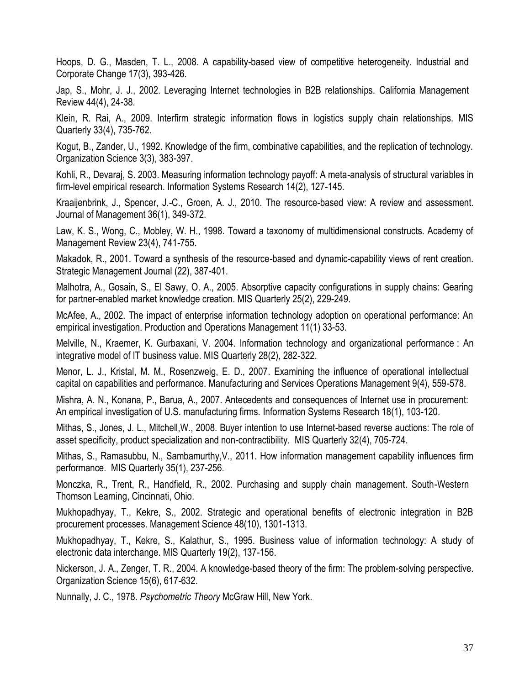Hoops, D. G., Masden, T. L., 2008. A capability-based view of competitive heterogeneity. Industrial and Corporate Change 17(3), 393-426.

Jap, S., Mohr, J. J., 2002. Leveraging Internet technologies in B2B relationships. California Management Review 44(4), 24-38.

Klein, R. Rai, A., 2009. Interfirm strategic information flows in logistics supply chain relationships. MIS Quarterly 33(4), 735-762.

Kogut, B., Zander, U., 1992. Knowledge of the firm, combinative capabilities, and the replication of technology. Organization Science 3(3), 383-397.

Kohli, R., Devaraj, S. 2003. Measuring information technology payoff: A meta-analysis of structural variables in firm-level empirical research. Information Systems Research 14(2), 127-145.

Kraaijenbrink, J., Spencer, J.-C., Groen, A. J., 2010. The resource-based view: A review and assessment. Journal of Management 36(1), 349-372.

Law, K. S., Wong, C., Mobley, W. H., 1998. Toward a taxonomy of multidimensional constructs. Academy of Management Review 23(4), 741-755.

Makadok, R., 2001. Toward a synthesis of the resource-based and dynamic-capability views of rent creation. Strategic Management Journal (22), 387-401.

Malhotra, A., Gosain, S., El Sawy, O. A., 2005. Absorptive capacity configurations in supply chains: Gearing for partner-enabled market knowledge creation. MIS Quarterly 25(2), 229-249.

McAfee, A., 2002. The impact of enterprise information technology adoption on operational performance: An empirical investigation. Production and Operations Management 11(1) 33-53.

Melville, N., Kraemer, K. Gurbaxani, V. 2004. Information technology and organizational performance : An integrative model of IT business value. MIS Quarterly 28(2), 282-322.

Menor, L. J., Kristal, M. M., Rosenzweig, E. D., 2007. Examining the influence of operational intellectual capital on capabilities and performance. Manufacturing and Services Operations Management 9(4), 559-578.

Mishra, A. N., Konana, P., Barua, A., 2007. Antecedents and consequences of Internet use in procurement: An empirical investigation of U.S. manufacturing firms. Information Systems Research 18(1), 103-120.

Mithas, S., Jones, J. L., Mitchell,W., 2008. Buyer intention to use Internet-based reverse auctions: The role of asset specificity, product specialization and non-contractibility. MIS Quarterly 32(4), 705-724.

Mithas, S., Ramasubbu, N., Sambamurthy,V., 2011. How information management capability influences firm performance. MIS Quarterly 35(1), 237-256.

Monczka, R., Trent, R., Handfield, R., 2002. Purchasing and supply chain management. South-Western Thomson Learning, Cincinnati, Ohio.

Mukhopadhyay, T., Kekre, S., 2002. Strategic and operational benefits of electronic integration in B2B procurement processes. Management Science 48(10), 1301-1313.

Mukhopadhyay, T., Kekre, S., Kalathur, S., 1995. Business value of information technology: A study of electronic data interchange. MIS Quarterly 19(2), 137-156.

Nickerson, J. A., Zenger, T. R., 2004. A knowledge-based theory of the firm: The problem-solving perspective. Organization Science 15(6), 617-632.

Nunnally, J. C., 1978. *Psychometric Theory* McGraw Hill, New York.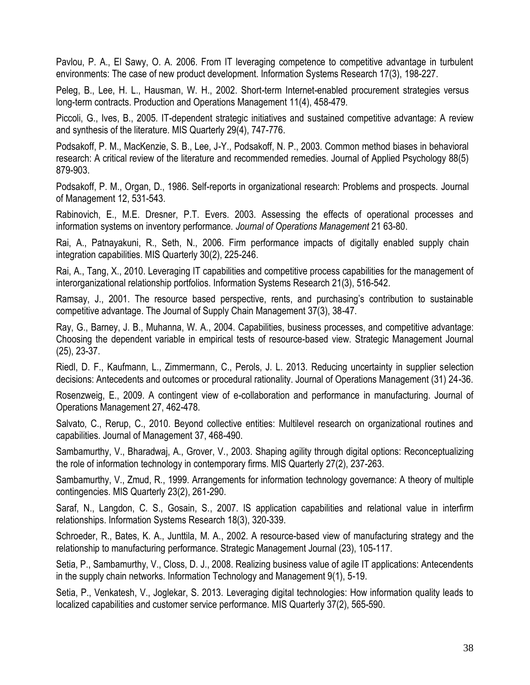Pavlou, P. A., El Sawy, O. A. 2006. From IT leveraging competence to competitive advantage in turbulent environments: The case of new product development. Information Systems Research 17(3), 198-227.

Peleg, B., Lee, H. L., Hausman, W. H., 2002. Short-term Internet-enabled procurement strategies versus long-term contracts. Production and Operations Management 11(4), 458-479.

Piccoli, G., Ives, B., 2005. IT-dependent strategic initiatives and sustained competitive advantage: A review and synthesis of the literature. MIS Quarterly 29(4), 747-776.

Podsakoff, P. M., MacKenzie, S. B., Lee, J-Y., Podsakoff, N. P., 2003. Common method biases in behavioral research: A critical review of the literature and recommended remedies. Journal of Applied Psychology 88(5) 879-903.

Podsakoff, P. M., Organ, D., 1986. Self-reports in organizational research: Problems and prospects. Journal of Management 12, 531-543.

Rabinovich, E., M.E. Dresner, P.T. Evers. 2003. Assessing the effects of operational processes and information systems on inventory performance. *Journal of Operations Management* 21 63-80.

Rai, A., Patnayakuni, R., Seth, N., 2006. Firm performance impacts of digitally enabled supply chain integration capabilities. MIS Quarterly 30(2), 225-246.

Rai, A., Tang, X., 2010. Leveraging IT capabilities and competitive process capabilities for the management of interorganizational relationship portfolios. Information Systems Research 21(3), 516-542.

Ramsay, J., 2001. The resource based perspective, rents, and purchasing's contribution to sustainable competitive advantage. The Journal of Supply Chain Management 37(3), 38-47.

Ray, G., Barney, J. B., Muhanna, W. A., 2004. Capabilities, business processes, and competitive advantage: Choosing the dependent variable in empirical tests of resource-based view. Strategic Management Journal (25), 23-37.

Riedl, D. F., Kaufmann, L., Zimmermann, C., Perols, J. L. 2013. Reducing uncertainty in supplier selection decisions: Antecedents and outcomes or procedural rationality. Journal of Operations Management (31) 24-36.

Rosenzweig, E., 2009. A contingent view of e-collaboration and performance in manufacturing. Journal of Operations Management 27, 462-478.

Salvato, C., Rerup, C., 2010. Beyond collective entities: Multilevel research on organizational routines and capabilities. Journal of Management 37, 468-490.

Sambamurthy, V., Bharadwaj, A., Grover, V., 2003. Shaping agility through digital options: Reconceptualizing the role of information technology in contemporary firms. MIS Quarterly 27(2), 237-263.

Sambamurthy, V., Zmud, R., 1999. Arrangements for information technology governance: A theory of multiple contingencies. MIS Quarterly 23(2), 261-290.

Saraf, N., Langdon, C. S., Gosain, S., 2007. IS application capabilities and relational value in interfirm relationships. Information Systems Research 18(3), 320-339.

Schroeder, R., Bates, K. A., Junttila, M. A., 2002. A resource-based view of manufacturing strategy and the relationship to manufacturing performance. Strategic Management Journal (23), 105-117.

Setia, P., Sambamurthy, V., Closs, D. J., 2008. Realizing business value of agile IT applications: Antecendents in the supply chain networks. Information Technology and Management 9(1), 5-19.

Setia, P., Venkatesh, V., Joglekar, S. 2013. Leveraging digital technologies: How information quality leads to localized capabilities and customer service performance. MIS Quarterly 37(2), 565-590.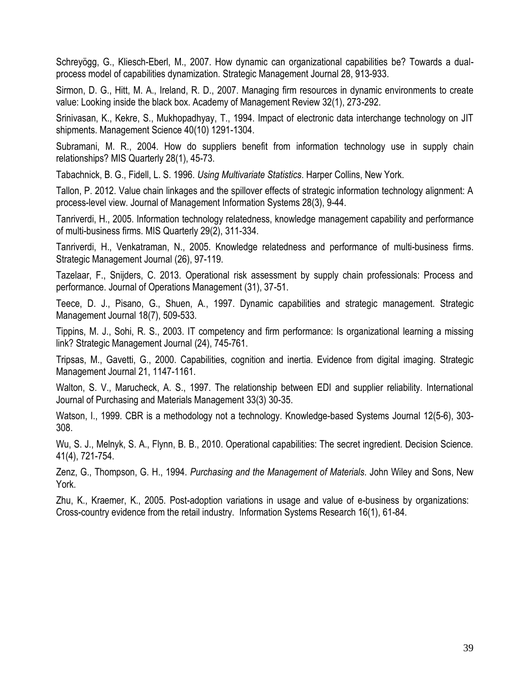Schreyögg, G., Kliesch-Eberl, M., 2007. How dynamic can organizational capabilities be? Towards a dualprocess model of capabilities dynamization. Strategic Management Journal 28, 913-933.

Sirmon, D. G., Hitt, M. A., Ireland, R. D., 2007. Managing firm resources in dynamic environments to create value: Looking inside the black box. Academy of Management Review 32(1), 273-292.

Srinivasan, K., Kekre, S., Mukhopadhyay, T., 1994. Impact of electronic data interchange technology on JIT shipments. Management Science 40(10) 1291-1304.

Subramani, M. R., 2004. How do suppliers benefit from information technology use in supply chain relationships? MIS Quarterly 28(1), 45-73.

Tabachnick, B. G., Fidell, L. S. 1996. *Using Multivariate Statistics*. Harper Collins, New York.

Tallon, P. 2012. Value chain linkages and the spillover effects of strategic information technology alignment: A process-level view. Journal of Management Information Systems 28(3), 9-44.

Tanriverdi, H., 2005. Information technology relatedness, knowledge management capability and performance of multi-business firms. MIS Quarterly 29(2), 311-334.

Tanriverdi, H., Venkatraman, N., 2005. Knowledge relatedness and performance of multi-business firms. Strategic Management Journal (26), 97-119.

Tazelaar, F., Snijders, C. 2013. Operational risk assessment by supply chain professionals: Process and performance. Journal of Operations Management (31), 37-51.

Teece, D. J., Pisano, G., Shuen, A., 1997. Dynamic capabilities and strategic management. Strategic Management Journal 18(7), 509-533.

Tippins, M. J., Sohi, R. S., 2003. IT competency and firm performance: Is organizational learning a missing link? Strategic Management Journal (24), 745-761.

Tripsas, M., Gavetti, G., 2000. Capabilities, cognition and inertia. Evidence from digital imaging. Strategic Management Journal 21, 1147-1161.

Walton, S. V., Marucheck, A. S., 1997. The relationship between EDI and supplier reliability. International Journal of Purchasing and Materials Management 33(3) 30-35.

Watson, I., 1999. CBR is a methodology not a technology. Knowledge-based Systems Journal 12(5-6), 303- 308.

Wu, S. J., Melnyk, S. A., Flynn, B. B., 2010. Operational capabilities: The secret ingredient. Decision Science. 41(4), 721-754.

Zenz, G., Thompson, G. H., 1994. *Purchasing and the Management of Materials.* John Wiley and Sons, New York.

Zhu, K., Kraemer, K., 2005. Post-adoption variations in usage and value of e-business by organizations: Cross-country evidence from the retail industry. Information Systems Research 16(1), 61-84.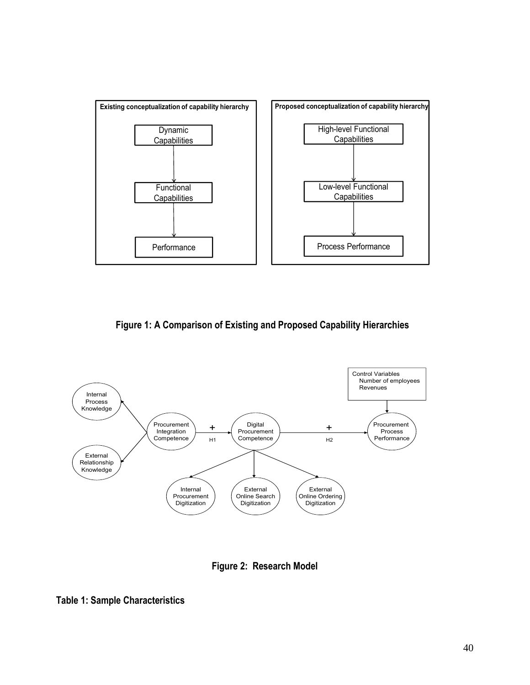

**Figure 1: A Comparison of Existing and Proposed Capability Hierarchies**



**Figure 2: Research Model**

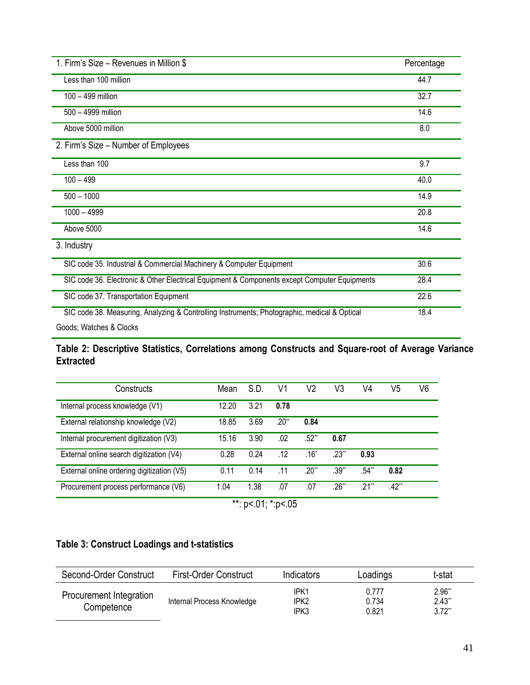| 1. Firm's Size – Revenues in Million \$                                                                                 | Percentage |
|-------------------------------------------------------------------------------------------------------------------------|------------|
| Less than 100 million                                                                                                   | 44.7       |
| 100 - 499 million                                                                                                       | 32.7       |
| 500 - 4999 million                                                                                                      | 14.6       |
| Above 5000 million                                                                                                      | 8.0        |
| 2. Firm's Size - Number of Employees                                                                                    |            |
| Less than 100                                                                                                           | 9.7        |
| $100 - 499$                                                                                                             | 40.0       |
| $500 - 1000$                                                                                                            | 14.9       |
| $1000 - 4999$                                                                                                           | 20.8       |
| Above 5000                                                                                                              | 14.6       |
| 3. Industry                                                                                                             |            |
| SIC code 35. Industrial & Commercial Machinery & Computer Equipment                                                     | 30.6       |
| SIC code 36. Electronic & Other Electrical Equipment & Components except Computer Equipments                            | 28.4       |
| SIC code 37. Transportation Equipment                                                                                   | 22.6       |
| SIC code 38. Measuring, Analyzing & Controlling Instruments; Photographic, medical & Optical<br>Goods; Watches & Clocks | 18.4       |

## **Table 2: Descriptive Statistics, Correlations among Constructs and Square-root of Average Variance Extracted**

| Constructs                                 | Mean  | S.D. | V1      | V2      | V3      | V4      | V5      | V6 |
|--------------------------------------------|-------|------|---------|---------|---------|---------|---------|----|
| Internal process knowledge (V1)            | 12.20 | 3.21 | 0.78    |         |         |         |         |    |
| External relationship knowledge (V2)       | 18.85 | 3.69 | $.20**$ | 0.84    |         |         |         |    |
| Internal procurement digitization (V3)     | 15.16 | 3.90 | .02     | $.52**$ | 0.67    |         |         |    |
| External online search digitization (V4)   | 0.28  | 0.24 | .12     | $.16*$  | $.23**$ | 0.93    |         |    |
| External online ordering digitization (V5) | 0.11  | 0.14 | .11     | $.20**$ | $.39**$ | $.54**$ | 0.82    |    |
| Procurement process performance (V6)       | 1.04  | 1.38 | .07     | .07     | $.26**$ | $21**$  | $.42**$ |    |
|                                            |       | .    |         |         |         |         |         |    |

\*\*:  $p<.01$ ; \*: $p<.05$ 

# **Table 3: Construct Loadings and t-statistics**

| Second-Order Construct                | First-Order Construct      | Indicators                       | Loadings                | t-stat                       |
|---------------------------------------|----------------------------|----------------------------------|-------------------------|------------------------------|
| Procurement Integration<br>Competence | Internal Process Knowledge | IPK1<br>IPK <sub>2</sub><br>IPK3 | 0.777<br>0.734<br>0.821 | $2.96*$<br>2.43"<br>$3.72**$ |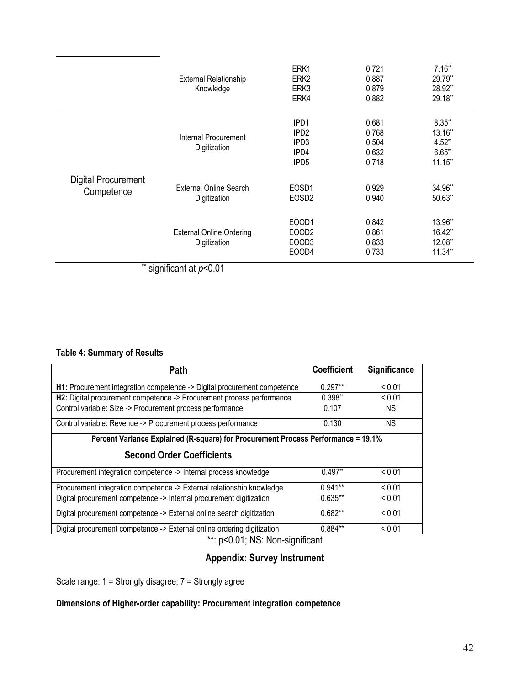|                                                                                                                                                     | <b>External Relationship</b><br>Knowledge                                    | ERK1<br>ERK <sub>2</sub><br>ERK3<br>ERK4                                 | 0.721<br>0.887<br>0.879<br>0.882          | $7.16**$<br>29.79**<br>28.92**<br>29.18**                 |
|-----------------------------------------------------------------------------------------------------------------------------------------------------|------------------------------------------------------------------------------|--------------------------------------------------------------------------|-------------------------------------------|-----------------------------------------------------------|
|                                                                                                                                                     | Internal Procurement<br>Digitization                                         | IPD <sub>1</sub><br>IPD <sub>2</sub><br>IPD3<br>IPD4<br>IPD <sub>5</sub> | 0.681<br>0.768<br>0.504<br>0.632<br>0.718 | $8.35**$<br>13.16**<br>$4.52**$<br>$6.65**$<br>$11.15$ ** |
| <b>Digital Procurement</b><br>Competence<br>$\frac{1}{2}$ and $\frac{1}{2}$ and $\frac{1}{2}$ and $\frac{1}{2}$ and $\frac{1}{2}$ and $\frac{1}{2}$ | External Online Search<br>Digitization                                       | EOSD1<br>EOSD <sub>2</sub>                                               | 0.929<br>0.940                            | 34.96**<br>50.63**                                        |
|                                                                                                                                                     | <b>External Online Ordering</b><br>Digitization<br>$\sim$ $\sim$ $\sim$<br>. | EOOD <sub>1</sub><br>EOOD <sub>2</sub><br>EOOD3<br>EOOD4                 | 0.842<br>0.861<br>0.833<br>0.733          | 13.96**<br>$16.42**$<br>12.08**<br>$11.34**$              |

significant at  $p$ <0.01

## **Table 4: Summary of Results**

| Path                                                                              | <b>Coefficient</b> | <b>Significance</b> |  |  |  |  |
|-----------------------------------------------------------------------------------|--------------------|---------------------|--|--|--|--|
| H1: Procurement integration competence -> Digital procurement competence          | $0.297**$          | < 0.01              |  |  |  |  |
| H2: Digital procurement competence -> Procurement process performance             | $0.398**$          | < 0.01              |  |  |  |  |
| Control variable: Size -> Procurement process performance                         | 0.107              | NS.                 |  |  |  |  |
| Control variable: Revenue -> Procurement process performance                      | 0.130              | NS.                 |  |  |  |  |
| Percent Variance Explained (R-square) for Procurement Process Performance = 19.1% |                    |                     |  |  |  |  |
| <b>Second Order Coefficients</b>                                                  |                    |                     |  |  |  |  |
| Procurement integration competence -> Internal process knowledge                  | $0.497**$          | < 0.01              |  |  |  |  |
| Procurement integration competence -> External relationship knowledge             | $0.941**$          | < 0.01              |  |  |  |  |
| Digital procurement competence -> Internal procurement digitization               | $0.635**$          | < 0.01              |  |  |  |  |
| Digital procurement competence -> External online search digitization             | $0.682**$          | < 0.01              |  |  |  |  |
| Digital procurement competence -> External online ordering digitization           | $0.884**$          | < 0.01              |  |  |  |  |
| **: p<0.01; NS: Non-significant                                                   |                    |                     |  |  |  |  |

# **Appendix: Survey Instrument**

Scale range: 1 = Strongly disagree; 7 = Strongly agree

## **Dimensions of Higher-order capability: Procurement integration competence**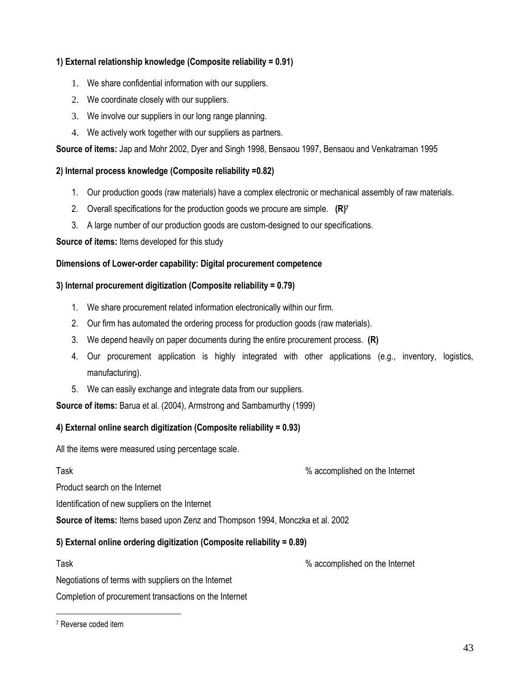## **1) External relationship knowledge (Composite reliability = 0.91)**

- 1. We share confidential information with our suppliers.
- 2. We coordinate closely with our suppliers.
- 3. We involve our suppliers in our long range planning.
- 4. We actively work together with our suppliers as partners.

**Source of items:** Jap and Mohr 2002, Dyer and Singh 1998, Bensaou 1997, Bensaou and Venkatraman 1995

#### **2) Internal process knowledge (Composite reliability =0.82)**

- 1. Our production goods (raw materials) have a complex electronic or mechanical assembly of raw materials.
- 2. Overall specifications for the production goods we procure are simple. **(R)<sup>7</sup>**
- 3. A large number of our production goods are custom-designed to our specifications.

**Source of items:** Items developed for this study

#### **Dimensions of Lower-order capability: Digital procurement competence**

#### **3) Internal procurement digitization (Composite reliability = 0.79)**

- 1. We share procurement related information electronically within our firm.
- 2. Our firm has automated the ordering process for production goods (raw materials).
- 3. We depend heavily on paper documents during the entire procurement process. **(R)**
- 4. Our procurement application is highly integrated with other applications (e.g., inventory, logistics, manufacturing).
- 5. We can easily exchange and integrate data from our suppliers.

**Source of items:** Barua et al. (2004), Armstrong and Sambamurthy (1999)

#### **4) External online search digitization (Composite reliability = 0.93)**

All the items were measured using percentage scale.

Task % accomplished on the Internet

Product search on the Internet

Identification of new suppliers on the Internet

**Source of items:** Items based upon Zenz and Thompson 1994, Monczka et al. 2002

### **5) External online ordering digitization (Composite reliability = 0.89)**

Task % accomplished on the Internet Negotiations of terms with suppliers on the Internet

Completion of procurement transactions on the Internet

<sup>7</sup> Reverse coded item

 $\overline{a}$